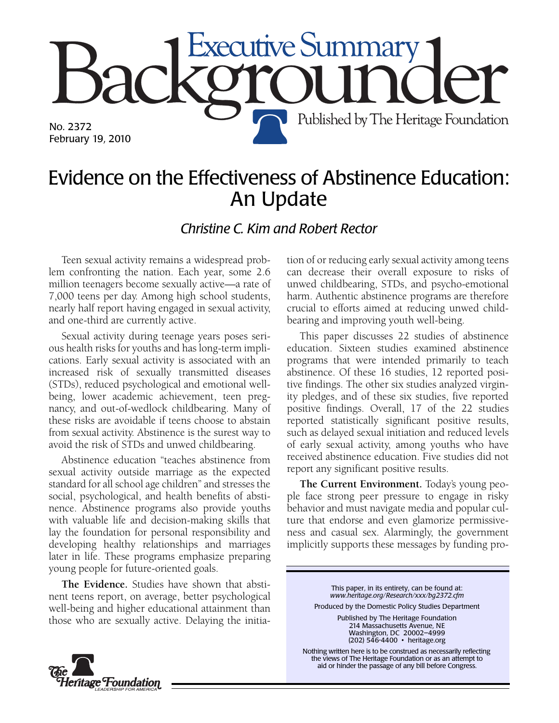

# Evidence on the Effectiveness of Abstinence Education: An Update

*Christine C. Kim and Robert Rector*

Teen sexual activity remains a widespread problem confronting the nation. Each year, some 2.6 million teenagers become sexually active—a rate of 7,000 teens per day. Among high school students, nearly half report having engaged in sexual activity, and one-third are currently active.

Sexual activity during teenage years poses serious health risks for youths and has long-term implications. Early sexual activity is associated with an increased risk of sexually transmitted diseases (STDs), reduced psychological and emotional wellbeing, lower academic achievement, teen pregnancy, and out-of-wedlock childbearing. Many of these risks are avoidable if teens choose to abstain from sexual activity. Abstinence is the surest way to avoid the risk of STDs and unwed childbearing.

Abstinence education "teaches abstinence from sexual activity outside marriage as the expected standard for all school age children" and stresses the social, psychological, and health benefits of abstinence. Abstinence programs also provide youths with valuable life and decision-making skills that lay the foundation for personal responsibility and developing healthy relationships and marriages later in life. These programs emphasize preparing young people for future-oriented goals.

**The Evidence.** Studies have shown that abstinent teens report, on average, better psychological well-being and higher educational attainment than those who are sexually active. Delaying the initiation of or reducing early sexual activity among teens can decrease their overall exposure to risks of unwed childbearing, STDs, and psycho-emotional harm. Authentic abstinence programs are therefore crucial to efforts aimed at reducing unwed childbearing and improving youth well-being.

This paper discusses 22 studies of abstinence education. Sixteen studies examined abstinence programs that were intended primarily to teach abstinence. Of these 16 studies, 12 reported positive findings. The other six studies analyzed virginity pledges, and of these six studies, five reported positive findings. Overall, 17 of the 22 studies reported statistically significant positive results, such as delayed sexual initiation and reduced levels of early sexual activity, among youths who have received abstinence education. Five studies did not report any significant positive results.

**The Current Environment.** Today's young people face strong peer pressure to engage in risky behavior and must navigate media and popular culture that endorse and even glamorize permissiveness and casual sex. Alarmingly, the government implicitly supports these messages by funding pro-

This paper, in its entirety, can be found at: *www.heritage.org/Research/xxx/bg2372.cfm* Produced by the Domestic Policy Studies Department Published by The Heritage Foundation 214 Massachusetts Avenue, NE Washington, DC 20002–4999 (202) 546-4400 • heritage.org Nothing written here is to be construed as necessarily reflecting the views of The Heritage Foundation or as an attempt to aid or hinder the passage of any bill before Congress.

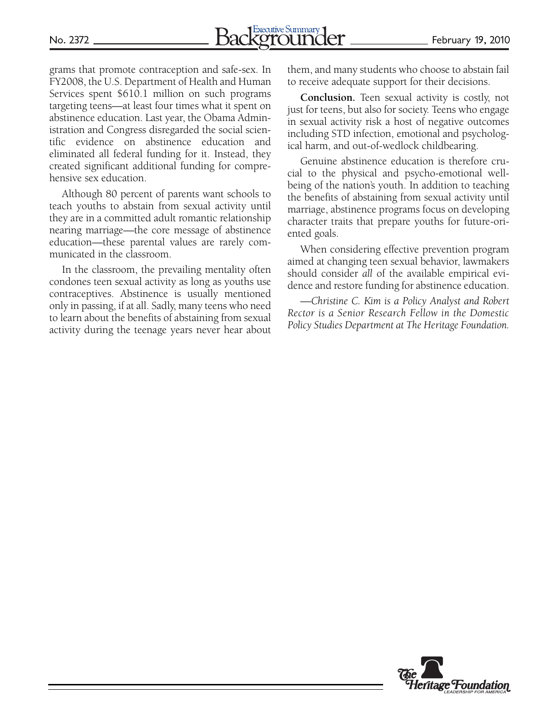grams that promote contraception and safe-sex. In FY2008, the U.S. Department of Health and Human Services spent \$610.1 million on such programs targeting teens—at least four times what it spent on abstinence education. Last year, the Obama Administration and Congress disregarded the social scientific evidence on abstinence education and eliminated all federal funding for it. Instead, they created significant additional funding for comprehensive sex education.

Although 80 percent of parents want schools to teach youths to abstain from sexual activity until they are in a committed adult romantic relationship nearing marriage—the core message of abstinence education—these parental values are rarely communicated in the classroom.

In the classroom, the prevailing mentality often condones teen sexual activity as long as youths use contraceptives. Abstinence is usually mentioned only in passing, if at all. Sadly, many teens who need to learn about the benefits of abstaining from sexual activity during the teenage years never hear about them, and many students who choose to abstain fail to receive adequate support for their decisions.

**Conclusion.** Teen sexual activity is costly, not just for teens, but also for society. Teens who engage in sexual activity risk a host of negative outcomes including STD infection, emotional and psychological harm, and out-of-wedlock childbearing.

Genuine abstinence education is therefore crucial to the physical and psycho-emotional wellbeing of the nation's youth. In addition to teaching the benefits of abstaining from sexual activity until marriage, abstinence programs focus on developing character traits that prepare youths for future-oriented goals.

When considering effective prevention program aimed at changing teen sexual behavior, lawmakers should consider *all* of the available empirical evidence and restore funding for abstinence education.

—*Christine C. Kim is a Policy Analyst and Robert Rector is a Senior Research Fellow in the Domestic Policy Studies Department at The Heritage Foundation.*

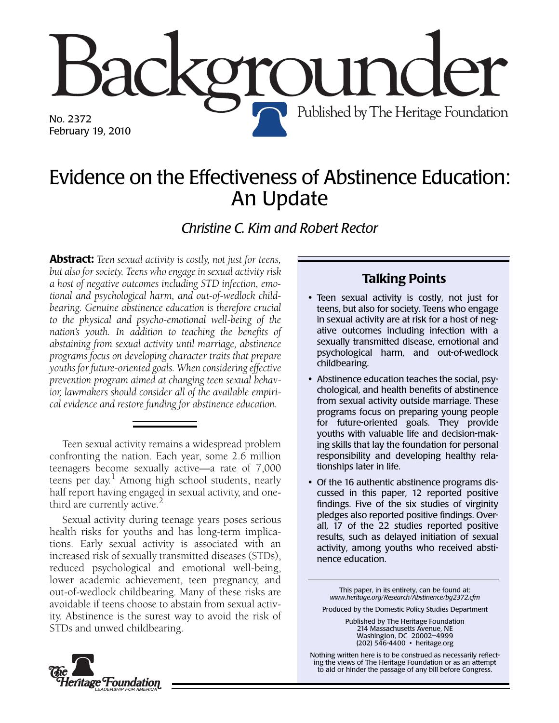

# Evidence on the Effectiveness of Abstinence Education: An Update

*Christine C. Kim and Robert Rector*

**Abstract:** *Teen sexual activity is costly, not just for teens, but also for society. Teens who engage in sexual activity risk a host of negative outcomes including STD infection, emotional and psychological harm, and out-of-wedlock childbearing. Genuine abstinence education is therefore crucial to the physical and psycho-emotional well-being of the nation's youth. In addition to teaching the benefits of abstaining from sexual activity until marriage, abstinence programs focus on developing character traits that prepare youths for future-oriented goals. When considering effective prevention program aimed at changing teen sexual behavior, lawmakers should consider all of the available empirical evidence and restore funding for abstinence education.*

Teen sexual activity remains a widespread problem confronting the nation. Each year, some 2.6 million teenagers become sexually active—a rate of 7,000 teens per day.<sup>1</sup> Among high school students, nearly half report having engaged in sexual activity, and onethird are currently active.<sup>2</sup>

Sexual activity during teenage years poses serious health risks for youths and has long-term implications. Early sexual activity is associated with an increased risk of sexually transmitted diseases (STDs), reduced psychological and emotional well-being, lower academic achievement, teen pregnancy, and out-of-wedlock childbearing. Many of these risks are avoidable if teens choose to abstain from sexual activity. Abstinence is the surest way to avoid the risk of STDs and unwed childbearing.

## **Talking Points**

- **•** Teen sexual activity is costly, not just for teens, but also for society. Teens who engage in sexual activity are at risk for a host of negative outcomes including infection with a sexually transmitted disease, emotional and psychological harm, and out-of-wedlock childbearing.
- **•** Abstinence education teaches the social, psychological, and health benefits of abstinence from sexual activity outside marriage. These programs focus on preparing young people for future-oriented goals. They provide youths with valuable life and decision-making skills that lay the foundation for personal responsibility and developing healthy relationships later in life.
- **•** Of the 16 authentic abstinence programs discussed in this paper, 12 reported positive findings. Five of the six studies of virginity pledges also reported positive findings. Overall, 17 of the 22 studies reported positive results, such as delayed initiation of sexual activity, among youths who received abstinence education.

This paper, in its entirety, can be found at: *www.heritage.org/Research/Abstinence/bg2372.cfm*

Produced by the Domestic Policy Studies Department

Published by The Heritage Foundation 214 Massachusetts Avenue, NE Washington, DC 20002–4999 (202) 546-4400 • heritage.org



Nothing written here is to be construed as necessarily reflecting the views of The Heritage Foundation or as an attempt to aid or hinder the passage of any bill before Congress.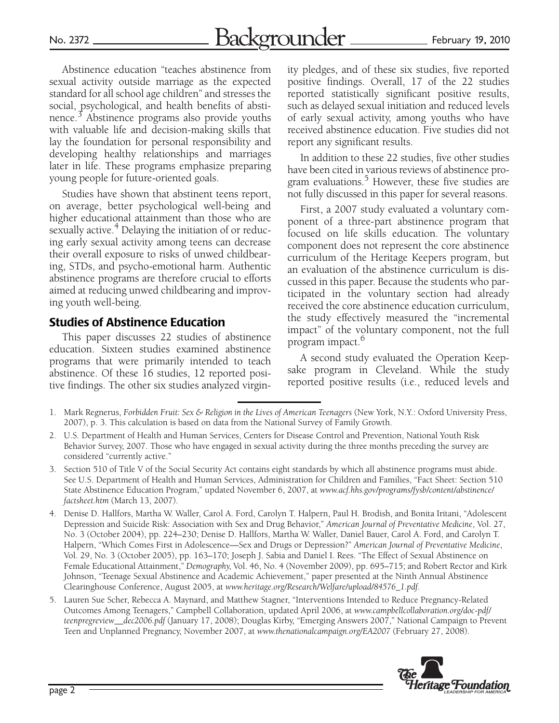Abstinence education "teaches abstinence from sexual activity outside marriage as the expected standard for all school age children" and stresses the social, psychological, and health benefits of abstinence.<sup>3</sup> Abstinence programs also provide youths with valuable life and decision-making skills that lay the foundation for personal responsibility and developing healthy relationships and marriages later in life. These programs emphasize preparing young people for future-oriented goals.

Studies have shown that abstinent teens report, on average, better psychological well-being and higher educational attainment than those who are sexually active. $4$  Delaying the initiation of or reducing early sexual activity among teens can decrease their overall exposure to risks of unwed childbearing, STDs, and psycho-emotional harm. Authentic abstinence programs are therefore crucial to efforts aimed at reducing unwed childbearing and improving youth well-being.

### **Studies of Abstinence Education**

This paper discusses 22 studies of abstinence education. Sixteen studies examined abstinence programs that were primarily intended to teach abstinence. Of these 16 studies, 12 reported positive findings. The other six studies analyzed virginity pledges, and of these six studies, five reported positive findings. Overall, 17 of the 22 studies reported statistically significant positive results, such as delayed sexual initiation and reduced levels of early sexual activity, among youths who have received abstinence education. Five studies did not report any significant results.

In addition to these 22 studies, five other studies have been cited in various reviews of abstinence program evaluations. $5$  However, these five studies are not fully discussed in this paper for several reasons.

First, a 2007 study evaluated a voluntary component of a three-part abstinence program that focused on life skills education. The voluntary component does not represent the core abstinence curriculum of the Heritage Keepers program, but an evaluation of the abstinence curriculum is discussed in this paper. Because the students who participated in the voluntary section had already received the core abstinence education curriculum, the study effectively measured the "incremental impact" of the voluntary component, not the full program impact.<sup>6</sup>

A second study evaluated the Operation Keepsake program in Cleveland. While the study reported positive results (i.e., reduced levels and

- 1. Mark Regnerus, *Forbidden Fruit: Sex & Religion in the Lives of American Teenagers* (New York, N.Y.: Oxford University Press, 2007), p. 3. This calculation is based on data from the National Survey of Family Growth.
- 2. U.S. Department of Health and Human Services, Centers for Disease Control and Prevention, National Youth Risk Behavior Survey, 2007. Those who have engaged in sexual activity during the three months preceding the survey are considered "currently active."
- 3. Section 510 of Title V of the Social Security Act contains eight standards by which all abstinence programs must abide. See U.S. Department of Health and Human Services, Administration for Children and Families, "Fact Sheet: Section 510 State Abstinence Education Program," updated November 6, 2007, at *www.acf.hhs.gov/programs/fysb/content/abstinence/ factsheet.htm* (March 13, 2007).
- 4. Denise D. Hallfors, Martha W. Waller, Carol A. Ford, Carolyn T. Halpern, Paul H. Brodish, and Bonita Iritani, "Adolescent Depression and Suicide Risk: Association with Sex and Drug Behavior," *American Journal of Preventative Medicine*, Vol. 27, No. 3 (October 2004), pp. 224–230; Denise D. Hallfors, Martha W. Waller, Daniel Bauer, Carol A. Ford, and Carolyn T. Halpern, "Which Comes First in Adolescence—Sex and Drugs or Depression?" *American Journal of Preventative Medicine*, Vol. 29, No. 3 (October 2005), pp. 163–170; Joseph J. Sabia and Daniel I. Rees. "The Effect of Sexual Abstinence on Female Educational Attainment," *Demography*, Vol. 46, No. 4 (November 2009), pp. 695–715; and Robert Rector and Kirk Johnson, "Teenage Sexual Abstinence and Academic Achievement," paper presented at the Ninth Annual Abstinence Clearinghouse Conference, August 2005, at *www.heritage.org/Research/Welfare/upload/84576\_1.pdf*.
- 5. Lauren Sue Scher, Rebecca A. Maynard, and Matthew Stagner, "Interventions Intended to Reduce Pregnancy-Related Outcomes Among Teenagers," Campbell Collaboration, updated April 2006, at *www.campbellcollaboration.org/doc-pdf/ teenpregreview\_\_dec2006.pdf* (January 17, 2008); Douglas Kirby, "Emerging Answers 2007," National Campaign to Prevent Teen and Unplanned Pregnancy, November 2007, at *www.thenationalcampaign.org/EA2007* (February 27, 2008).

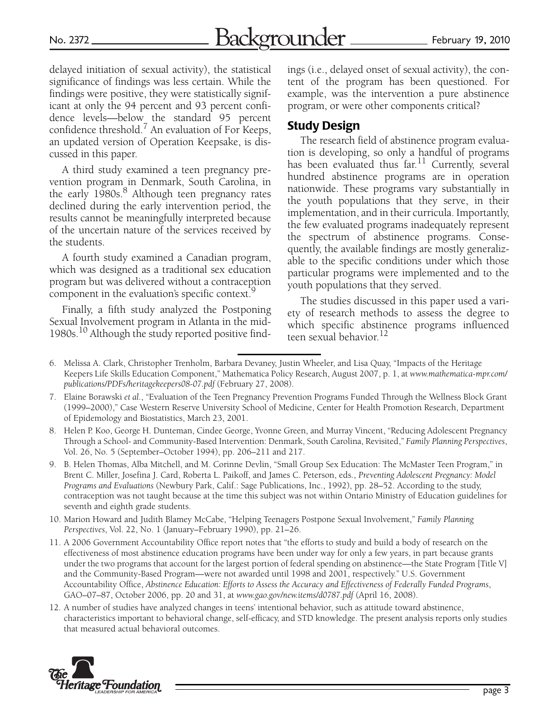delayed initiation of sexual activity), the statistical significance of findings was less certain. While the findings were positive, they were statistically significant at only the 94 percent and 93 percent confidence levels—below the standard 95 percent confidence threshold.<sup>7</sup> An evaluation of For Keeps, an updated version of Operation Keepsake, is discussed in this paper.

A third study examined a teen pregnancy prevention program in Denmark, South Carolina, in the early 1980s.<sup>8</sup> Although teen pregnancy rates declined during the early intervention period, the results cannot be meaningfully interpreted because of the uncertain nature of the services received by the students.

A fourth study examined a Canadian program, which was designed as a traditional sex education program but was delivered without a contraception component in the evaluation's specific context.<sup>9</sup>

Finally, a fifth study analyzed the Postponing Sexual Involvement program in Atlanta in the mid-1980s.<sup>10</sup> Although the study reported positive findings (i.e., delayed onset of sexual activity), the content of the program has been questioned. For example, was the intervention a pure abstinence program, or were other components critical?

### **Study Design**

The research field of abstinence program evaluation is developing, so only a handful of programs has been evaluated thus far.<sup>11</sup> Currently, several hundred abstinence programs are in operation nationwide. These programs vary substantially in the youth populations that they serve, in their implementation, and in their curricula. Importantly, the few evaluated programs inadequately represent the spectrum of abstinence programs. Consequently, the available findings are mostly generalizable to the specific conditions under which those particular programs were implemented and to the youth populations that they served.

The studies discussed in this paper used a variety of research methods to assess the degree to which specific abstinence programs influenced teen sexual behavior.<sup>12</sup>

9. B. Helen Thomas, Alba Mitchell, and M. Corinne Devlin, "Small Group Sex Education: The McMaster Teen Program," in Brent C. Miller, Josefina J. Card, Roberta L. Paikoff, and James C. Peterson, eds., *Preventing Adolescent Pregnancy: Model Programs and Evaluations* (Newbury Park, Calif.: Sage Publications, Inc., 1992), pp. 28–52. According to the study, contraception was not taught because at the time this subject was not within Ontario Ministry of Education guidelines for seventh and eighth grade students.

- 10. Marion Howard and Judith Blamey McCabe, "Helping Teenagers Postpone Sexual Involvement," *Family Planning Perspectives*, Vol. 22, No. 1 (January–February 1990), pp. 21–26.
- 11. A 2006 Government Accountability Office report notes that "the efforts to study and build a body of research on the effectiveness of most abstinence education programs have been under way for only a few years, in part because grants under the two programs that account for the largest portion of federal spending on abstinence—the State Program [Title V] and the Community-Based Program—were not awarded until 1998 and 2001, respectively." U.S. Government Accountability Office, *Abstinence Education: Efforts to Assess the Accuracy and Effectiveness of Federally Funded Programs*, GAO–07–87, October 2006, pp. 20 and 31, at *www.gao.gov/new.items/d0787.pdf* (April 16, 2008).
- 12. A number of studies have analyzed changes in teens' intentional behavior, such as attitude toward abstinence, characteristics important to behavioral change, self-efficacy, and STD knowledge. The present analysis reports only studies that measured actual behavioral outcomes.



<sup>6.</sup> Melissa A. Clark, Christopher Trenholm, Barbara Devaney, Justin Wheeler, and Lisa Quay, "Impacts of the Heritage Keepers Life Skills Education Component," Mathematica Policy Research, August 2007, p. 1, at *www.mathematica-mpr.com/ publications/PDFs/heritagekeepers08-07.pdf* (February 27, 2008).

<sup>7.</sup> Elaine Borawski *et al.*, "Evaluation of the Teen Pregnancy Prevention Programs Funded Through the Wellness Block Grant (1999–2000)," Case Western Reserve University School of Medicine, Center for Health Promotion Research, Department of Epidemology and Biostatistics, March 23, 2001.

<sup>8.</sup> Helen P. Koo, George H. Dunteman, Cindee George, Yvonne Green, and Murray Vincent, "Reducing Adolescent Pregnancy Through a School- and Community-Based Intervention: Denmark, South Carolina, Revisited," *Family Planning Perspectives*, Vol. 26, No. 5 (September–October 1994), pp. 206–211 and 217.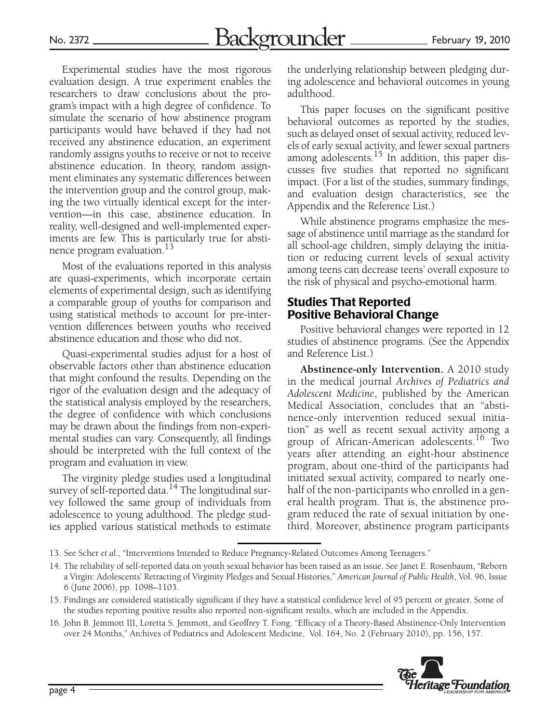Experimental studies have the most rigorous evaluation design. A true experiment enables the researchers to draw conclusions about the program's impact with a high degree of confidence. To simulate the scenario of how abstinence program participants would have behaved if they had not received any abstinence education, an experiment randomly assigns youths to receive or not to receive abstinence education. In theory, random assignment eliminates any systematic differences between the intervention group and the control group, making the two virtually identical except for the intervention—in this case, abstinence education. In reality, well-designed and well-implemented experiments are few. This is particularly true for abstinence program evaluation.<sup>13</sup>

Most of the evaluations reported in this analysis are quasi-experiments, which incorporate certain elements of experimental design, such as identifying a comparable group of youths for comparison and using statistical methods to account for pre-intervention differences between youths who received abstinence education and those who did not.

Quasi-experimental studies adjust for a host of observable factors other than abstinence education that might confound the results. Depending on the rigor of the evaluation design and the adequacy of the statistical analysis employed by the researchers, the degree of confidence with which conclusions may be drawn about the findings from non-experimental studies can vary. Consequently, all findings should be interpreted with the full context of the program and evaluation in view.

The virginity pledge studies used a longitudinal survey of self-reported data.<sup>14</sup> The longitudinal survey followed the same group of individuals from adolescence to young adulthood. The pledge studies applied various statistical methods to estimate the underlying relationship between pledging during adolescence and behavioral outcomes in young adulthood.

This paper focuses on the significant positive behavioral outcomes as reported by the studies, such as delayed onset of sexual activity, reduced levels of early sexual activity, and fewer sexual partners among adolescents.<sup>15</sup> In addition, this paper discusses five studies that reported no significant impact. (For a list of the studies, summary findings, and evaluation design characteristics, see the Appendix and the Reference List.)

While abstinence programs emphasize the message of abstinence until marriage as the standard for all school-age children, simply delaying the initiation or reducing current levels of sexual activity among teens can decrease teens' overall exposure to the risk of physical and psycho-emotional harm.

### **Studies That Reported Positive Behavioral Change**

Positive behavioral changes were reported in 12 studies of abstinence programs. (See the Appendix and Reference List.)

**Abstinence-only Intervention.** A 2010 study in the medical journal *Archives of Pediatrics and Adolescent Medicine*, published by the American Medical Association, concludes that an "abstinence-only intervention reduced sexual initiation" as well as recent sexual activity among a group of African-American adolescents.16 Two years after attending an eight-hour abstinence program, about one-third of the participants had initiated sexual activity, compared to nearly onehalf of the non-participants who enrolled in a general health program. That is, the abstinence program reduced the rate of sexual initiation by onethird. Moreover, abstinence program participants

<sup>16.</sup> John B. Jemmott III, Loretta S. Jemmott, and Geoffrey T. Fong. "Efficacy of a Theory-Based Abstinence-Only Intervention over 24 Months," Archives of Pediatrics and Adolescent Medicine, Vol. 164, No. 2 (February 2010), pp. 156, 157.



<sup>13.</sup> See Scher *et al.*, "Interventions Intended to Reduce Pregnancy-Related Outcomes Among Teenagers."

<sup>14.</sup> The reliability of self-reported data on youth sexual behavior has been raised as an issue. See Janet E. Rosenbaum, "Reborn a Virgin: Adolescents' Retracting of Virginity Pledges and Sexual Histories," *American Journal of Public Health*, Vol. 96, Issue 6 (June 2006), pp. 1098–1103.

<sup>15.</sup> Findings are considered statistically significant if they have a statistical confidence level of 95 percent or greater. Some of the studies reporting positive results also reported non-significant results, which are included in the Appendix.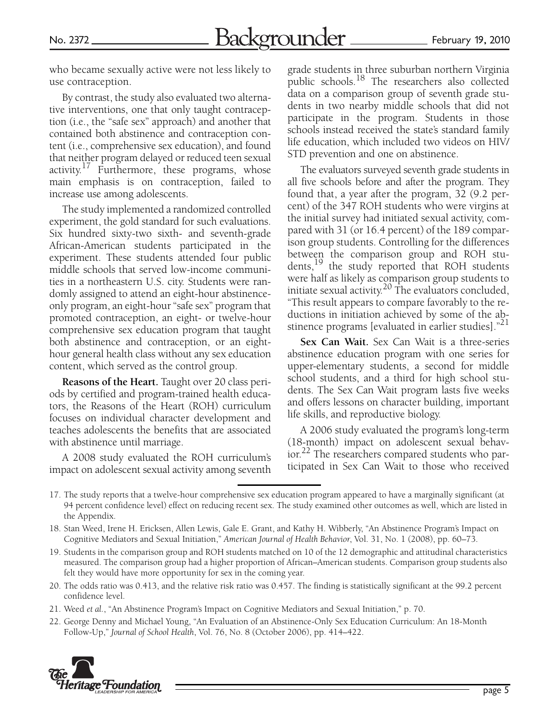who became sexually active were not less likely to use contraception.

By contrast, the study also evaluated two alternative interventions, one that only taught contraception (i.e., the "safe sex" approach) and another that contained both abstinence and contraception content (i.e., comprehensive sex education), and found that neither program delayed or reduced teen sexual activity.<sup>17</sup> Furthermore, these programs, whose main emphasis is on contraception, failed to increase use among adolescents.

The study implemented a randomized controlled experiment, the gold standard for such evaluations. Six hundred sixty-two sixth- and seventh-grade African-American students participated in the experiment. These students attended four public middle schools that served low-income communities in a northeastern U.S. city. Students were randomly assigned to attend an eight-hour abstinenceonly program, an eight-hour "safe sex" program that promoted contraception, an eight- or twelve-hour comprehensive sex education program that taught both abstinence and contraception, or an eighthour general health class without any sex education content, which served as the control group.

**Reasons of the Heart.** Taught over 20 class periods by certified and program-trained health educators, the Reasons of the Heart (ROH) curriculum focuses on individual character development and teaches adolescents the benefits that are associated with abstinence until marriage.

A 2008 study evaluated the ROH curriculum's impact on adolescent sexual activity among seventh grade students in three suburban northern Virginia public schools.<sup>18</sup> The researchers also collected data on a comparison group of seventh grade students in two nearby middle schools that did not participate in the program. Students in those schools instead received the state's standard family life education, which included two videos on HIV/ STD prevention and one on abstinence.

The evaluators surveyed seventh grade students in all five schools before and after the program. They found that, a year after the program, 32 (9.2 percent) of the 347 ROH students who were virgins at the initial survey had initiated sexual activity, compared with 31 (or 16.4 percent) of the 189 comparison group students. Controlling for the differences between the comparison group and ROH students,<sup>19</sup> the study reported that ROH students were half as likely as comparison group students to initiate sexual activity.<sup>20</sup> The evaluators concluded, "This result appears to compare favorably to the reductions in initiation achieved by some of the abstinence programs [evaluated in earlier studies]. $"^{\text{21}}$ 

**Sex Can Wait.** Sex Can Wait is a three-series abstinence education program with one series for upper-elementary students, a second for middle school students, and a third for high school students. The Sex Can Wait program lasts five weeks and offers lessons on character building, important life skills, and reproductive biology.

A 2006 study evaluated the program's long-term (18-month) impact on adolescent sexual behavior.<sup>22</sup> The researchers compared students who participated in Sex Can Wait to those who received

<sup>22.</sup> George Denny and Michael Young, "An Evaluation of an Abstinence-Only Sex Education Curriculum: An 18-Month Follow-Up," *Journal of School Health*, Vol. 76, No. 8 (October 2006), pp. 414–422.



<sup>17.</sup> The study reports that a twelve-hour comprehensive sex education program appeared to have a marginally significant (at 94 percent confidence level) effect on reducing recent sex. The study examined other outcomes as well, which are listed in the Appendix.

<sup>18.</sup> Stan Weed, Irene H. Ericksen, Allen Lewis, Gale E. Grant, and Kathy H. Wibberly, "An Abstinence Program's Impact on Cognitive Mediators and Sexual Initiation," *American Journal of Health Behavior*, Vol. 31, No. 1 (2008), pp. 60–73.

<sup>19.</sup> Students in the comparison group and ROH students matched on 10 of the 12 demographic and attitudinal characteristics measured. The comparison group had a higher proportion of African–American students. Comparison group students also felt they would have more opportunity for sex in the coming year.

<sup>20.</sup> The odds ratio was 0.413, and the relative risk ratio was 0.457. The finding is statistically significant at the 99.2 percent confidence level.

<sup>21.</sup> Weed *et al.*, "An Abstinence Program's Impact on Cognitive Mediators and Sexual Initiation," p. 70.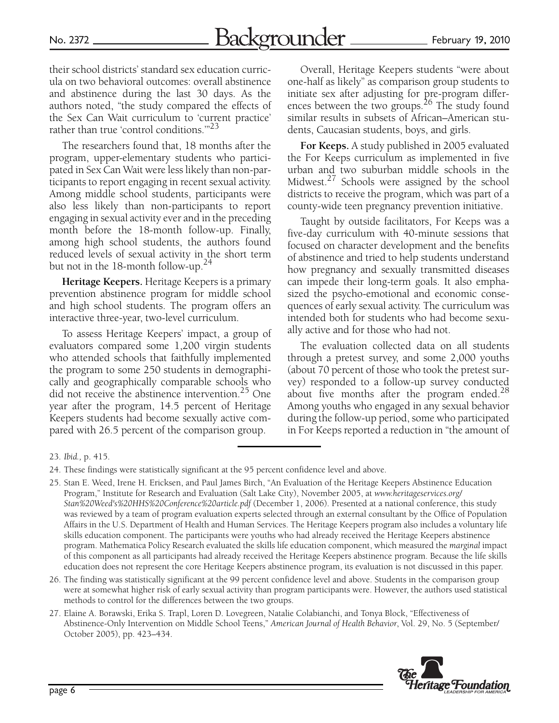their school districts' standard sex education curricula on two behavioral outcomes: overall abstinence and abstinence during the last 30 days. As the authors noted, "the study compared the effects of the Sex Can Wait curriculum to 'current practice' rather than true 'control conditions."<sup>23</sup>

The researchers found that, 18 months after the program, upper-elementary students who participated in Sex Can Wait were less likely than non-participants to report engaging in recent sexual activity. Among middle school students, participants were also less likely than non-participants to report engaging in sexual activity ever and in the preceding month before the 18-month follow-up. Finally, among high school students, the authors found reduced levels of sexual activity in the short term but not in the 18-month follow-up. $24$ 

**Heritage Keepers.** Heritage Keepers is a primary prevention abstinence program for middle school and high school students. The program offers an interactive three-year, two-level curriculum.

To assess Heritage Keepers' impact, a group of evaluators compared some 1,200 virgin students who attended schools that faithfully implemented the program to some 250 students in demographically and geographically comparable schools who did not receive the abstinence intervention.<sup>25</sup> One year after the program, 14.5 percent of Heritage Keepers students had become sexually active compared with 26.5 percent of the comparison group.

Overall, Heritage Keepers students "were about one-half as likely" as comparison group students to initiate sex after adjusting for pre-program differences between the two groups.<sup>26</sup> The study found similar results in subsets of African–American students, Caucasian students, boys, and girls.

**For Keeps.** A study published in 2005 evaluated the For Keeps curriculum as implemented in five urban and two suburban middle schools in the Midwest.<sup>27</sup> Schools were assigned by the school districts to receive the program, which was part of a county-wide teen pregnancy prevention initiative.

Taught by outside facilitators, For Keeps was a five-day curriculum with 40-minute sessions that focused on character development and the benefits of abstinence and tried to help students understand how pregnancy and sexually transmitted diseases can impede their long-term goals. It also emphasized the psycho-emotional and economic consequences of early sexual activity. The curriculum was intended both for students who had become sexually active and for those who had not.

The evaluation collected data on all students through a pretest survey, and some 2,000 youths (about 70 percent of those who took the pretest survey) responded to a follow-up survey conducted about five months after the program ended.<sup>28</sup> Among youths who engaged in any sexual behavior during the follow-up period, some who participated in For Keeps reported a reduction in "the amount of

26. The finding was statistically significant at the 99 percent confidence level and above. Students in the comparison group were at somewhat higher risk of early sexual activity than program participants were. However, the authors used statistical methods to control for the differences between the two groups.

27. Elaine A. Borawski, Erika S. Trapl, Loren D. Lovegreen, Natalie Colabianchi, and Tonya Block, "Effectiveness of Abstinence-Only Intervention on Middle School Teens," *American Journal of Health Behavior*, Vol. 29, No. 5 (September/ October 2005), pp. 423–434.



<sup>23.</sup> *Ibid.,* p. 415.

<sup>24.</sup> These findings were statistically significant at the 95 percent confidence level and above.

<sup>25.</sup> Stan E. Weed, Irene H. Ericksen, and Paul James Birch, "An Evaluation of the Heritage Keepers Abstinence Education Program," Institute for Research and Evaluation (Salt Lake City), November 2005, at *www.heritageservices.org/ Stan%20Weed's%20HHS%20Conference%20article.pdf* (December 1, 2006). Presented at a national conference, this study was reviewed by a team of program evaluation experts selected through an external consultant by the Office of Population Affairs in the U.S. Department of Health and Human Services. The Heritage Keepers program also includes a voluntary life skills education component. The participants were youths who had already received the Heritage Keepers abstinence program. Mathematica Policy Research evaluated the skills life education component, which measured the *marginal* impact of this component as all participants had already received the Heritage Keepers abstinence program. Because the life skills education does not represent the core Heritage Keepers abstinence program, its evaluation is not discussed in this paper.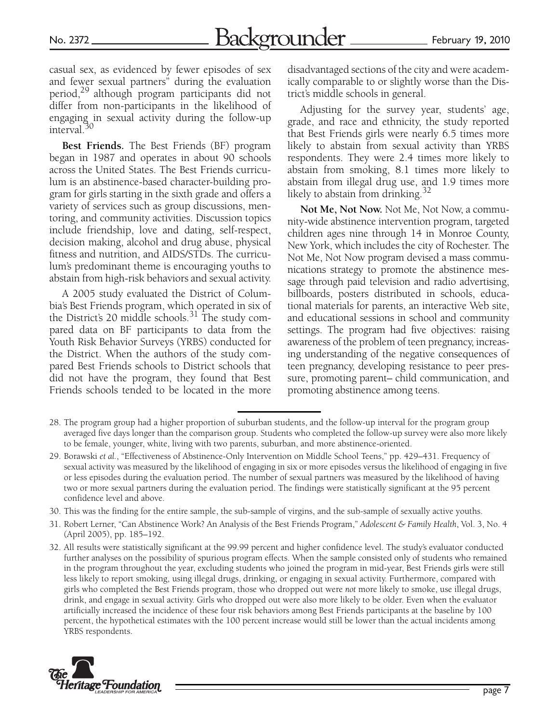casual sex, as evidenced by fewer episodes of sex and fewer sexual partners" during the evaluation period,29 although program participants did not differ from non-participants in the likelihood of engaging in sexual activity during the follow-up interval.30

**Best Friends.** The Best Friends (BF) program began in 1987 and operates in about 90 schools across the United States. The Best Friends curriculum is an abstinence-based character-building program for girls starting in the sixth grade and offers a variety of services such as group discussions, mentoring, and community activities. Discussion topics include friendship, love and dating, self-respect, decision making, alcohol and drug abuse, physical fitness and nutrition, and AIDS/STDs. The curriculum's predominant theme is encouraging youths to abstain from high-risk behaviors and sexual activity.

A 2005 study evaluated the District of Columbia's Best Friends program, which operated in six of the District's 20 middle schools. $31$  The study compared data on BF participants to data from the Youth Risk Behavior Surveys (YRBS) conducted for the District. When the authors of the study compared Best Friends schools to District schools that did not have the program, they found that Best Friends schools tended to be located in the more disadvantaged sections of the city and were academically comparable to or slightly worse than the District's middle schools in general.

Adjusting for the survey year, students' age, grade, and race and ethnicity, the study reported that Best Friends girls were nearly 6.5 times more likely to abstain from sexual activity than YRBS respondents. They were 2.4 times more likely to abstain from smoking, 8.1 times more likely to abstain from illegal drug use, and 1.9 times more likely to abstain from drinking. $32$ 

**Not Me, Not Now.** Not Me, Not Now, a community-wide abstinence intervention program, targeted children ages nine through 14 in Monroe County, New York, which includes the city of Rochester. The Not Me, Not Now program devised a mass communications strategy to promote the abstinence message through paid television and radio advertising, billboards, posters distributed in schools, educational materials for parents, an interactive Web site, and educational sessions in school and community settings. The program had five objectives: raising awareness of the problem of teen pregnancy, increasing understanding of the negative consequences of teen pregnancy, developing resistance to peer pressure, promoting parent– child communication, and promoting abstinence among teens.

<sup>32.</sup> All results were statistically significant at the 99.99 percent and higher confidence level. The study's evaluator conducted further analyses on the possibility of spurious program effects. When the sample consisted only of students who remained in the program throughout the year, excluding students who joined the program in mid-year, Best Friends girls were still less likely to report smoking, using illegal drugs, drinking, or engaging in sexual activity. Furthermore, compared with girls who completed the Best Friends program, those who dropped out were *not* more likely to smoke, use illegal drugs, drink, and engage in sexual activity. Girls who dropped out were also more likely to be older. Even when the evaluator artificially increased the incidence of these four risk behaviors among Best Friends participants at the baseline by 100 percent, the hypothetical estimates with the 100 percent increase would still be lower than the actual incidents among YRBS respondents.



<sup>28.</sup> The program group had a higher proportion of suburban students, and the follow-up interval for the program group averaged five days longer than the comparison group. Students who completed the follow-up survey were also more likely to be female, younger, white, living with two parents, suburban, and more abstinence-oriented.

<sup>29.</sup> Borawski *et al.*, "Effectiveness of Abstinence-Only Intervention on Middle School Teens," pp. 429–431. Frequency of sexual activity was measured by the likelihood of engaging in six or more episodes versus the likelihood of engaging in five or less episodes during the evaluation period. The number of sexual partners was measured by the likelihood of having two or more sexual partners during the evaluation period. The findings were statistically significant at the 95 percent confidence level and above.

<sup>30.</sup> This was the finding for the entire sample, the sub-sample of virgins, and the sub-sample of sexually active youths.

<sup>31.</sup> Robert Lerner, "Can Abstinence Work? An Analysis of the Best Friends Program," *Adolescent & Family Health*, Vol. 3, No. 4 (April 2005), pp. 185–192.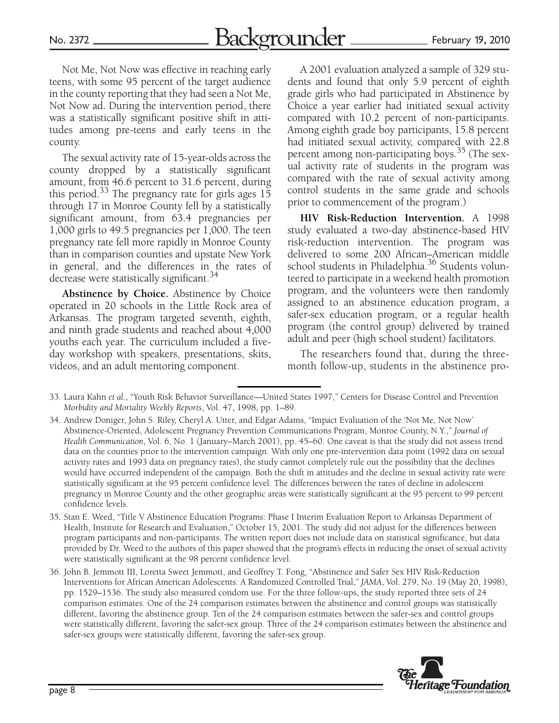Not Me, Not Now was effective in reaching early teens, with some 95 percent of the target audience in the county reporting that they had seen a Not Me, Not Now ad. During the intervention period, there was a statistically significant positive shift in attitudes among pre-teens and early teens in the county.

The sexual activity rate of 15-year-olds across the county dropped by a statistically significant amount, from 46.6 percent to 31.6 percent, during this period.<sup>33</sup> The pregnancy rate for girls ages  $15$ through 17 in Monroe County fell by a statistically significant amount, from 63.4 pregnancies per 1,000 girls to 49.5 pregnancies per 1,000. The teen pregnancy rate fell more rapidly in Monroe County than in comparison counties and upstate New York in general, and the differences in the rates of decrease were statistically significant.<sup>34</sup>

**Abstinence by Choice.** Abstinence by Choice operated in 20 schools in the Little Rock area of Arkansas. The program targeted seventh, eighth, and ninth grade students and reached about 4,000 youths each year. The curriculum included a fiveday workshop with speakers, presentations, skits, videos, and an adult mentoring component.

A 2001 evaluation analyzed a sample of 329 students and found that only 5.9 percent of eighth grade girls who had participated in Abstinence by Choice a year earlier had initiated sexual activity compared with 10.2 percent of non-participants. Among eighth grade boy participants, 15.8 percent had initiated sexual activity, compared with 22.8 percent among non-participating boys.<sup>35</sup> (The sexual activity rate of students in the program was compared with the rate of sexual activity among control students in the same grade and schools prior to commencement of the program.)

**HIV Risk-Reduction Intervention.** A 1998 study evaluated a two-day abstinence-based HIV risk-reduction intervention. The program was delivered to some 200 African–American middle school students in Philadelphia.<sup>36</sup> Students volunteered to participate in a weekend health promotion program, and the volunteers were then randomly assigned to an abstinence education program, a safer-sex education program, or a regular health program (the control group) delivered by trained adult and peer (high school student) facilitators.

The researchers found that, during the threemonth follow-up, students in the abstinence pro-

<sup>36.</sup> John B. Jemmott III, Loretta Sweet Jemmott, and Geoffrey T. Fong, "Abstinence and Safer Sex HIV Risk-Reduction Interventions for African American Adolescents: A Randomized Controlled Trial," *JAMA*, Vol. 279, No. 19 (May 20, 1998), pp. 1529–1536. The study also measured condom use. For the three follow-ups, the study reported three sets of 24 comparison estimates. One of the 24 comparison estimates between the abstinence and control groups was statistically different, favoring the abstinence group. Ten of the 24 comparison estimates between the safer-sex and control groups were statistically different, favoring the safer-sex group. Three of the 24 comparison estimates between the abstinence and safer-sex groups were statistically different, favoring the safer-sex group.



<sup>33.</sup> Laura Kahn *et al.*, "Youth Risk Behavior Surveillance—United States 1997," Centers for Disease Control and Prevention *Morbidity and Mortality Weekly Reports*, Vol. 47, 1998, pp. 1–89.

<sup>34.</sup> Andrew Doniger, John S. Riley, Cheryl A. Utter, and Edgar Adams, "Impact Evaluation of the 'Not Me, Not Now' Abstinence-Oriented, Adolescent Pregnancy Prevention Communications Program, Monroe County, N.Y.," *Journal of Health Communication*, Vol. 6, No. 1 (January–March 2001), pp. 45–60. One caveat is that the study did not assess trend data on the counties prior to the intervention campaign. With only one pre-intervention data point (1992 data on sexual activity rates and 1993 data on pregnancy rates), the study cannot completely rule out the possibility that the declines would have occurred independent of the campaign. Both the shift in attitudes and the decline in sexual activity rate were statistically significant at the 95 percent confidence level. The differences between the rates of decline in adolescent pregnancy in Monroe County and the other geographic areas were statistically significant at the 95 percent to 99 percent confidence levels.

<sup>35.</sup> Stan E. Weed, "Title V Abstinence Education Programs: Phase I Interim Evaluation Report to Arkansas Department of Health, Institute for Research and Evaluation," October 15, 2001. The study did not adjust for the differences between program participants and non-participants. The written report does not include data on statistical significance, but data provided by Dr. Weed to the authors of this paper showed that the program's effects in reducing the onset of sexual activity were statistically significant at the 98 percent confidence level.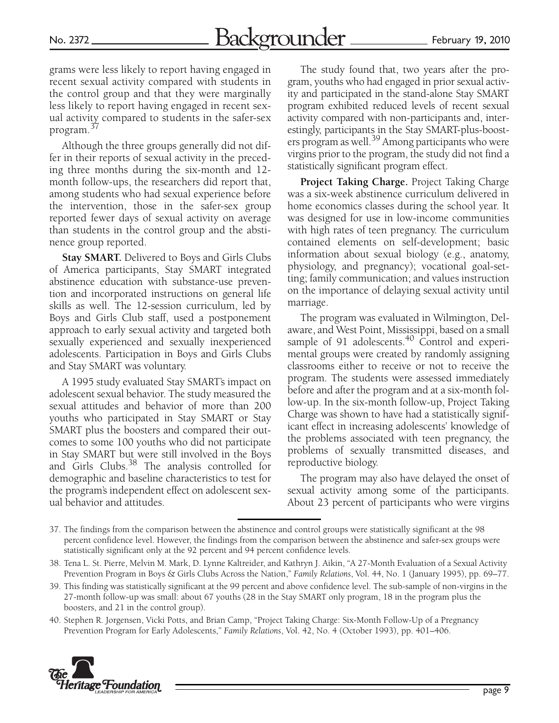grams were less likely to report having engaged in recent sexual activity compared with students in the control group and that they were marginally less likely to report having engaged in recent sexual activity compared to students in the safer-sex program.<sup>37</sup>

Although the three groups generally did not differ in their reports of sexual activity in the preceding three months during the six-month and 12 month follow-ups, the researchers did report that, among students who had sexual experience before the intervention, those in the safer-sex group reported fewer days of sexual activity on average than students in the control group and the abstinence group reported.

**Stay SMART.** Delivered to Boys and Girls Clubs of America participants, Stay SMART integrated abstinence education with substance-use prevention and incorporated instructions on general life skills as well. The 12-session curriculum, led by Boys and Girls Club staff, used a postponement approach to early sexual activity and targeted both sexually experienced and sexually inexperienced adolescents. Participation in Boys and Girls Clubs and Stay SMART was voluntary.

A 1995 study evaluated Stay SMART's impact on adolescent sexual behavior. The study measured the sexual attitudes and behavior of more than 200 youths who participated in Stay SMART or Stay SMART plus the boosters and compared their outcomes to some 100 youths who did not participate in Stay SMART but were still involved in the Boys and Girls Clubs.<sup>38</sup> The analysis controlled for demographic and baseline characteristics to test for the program's independent effect on adolescent sexual behavior and attitudes.

The study found that, two years after the program, youths who had engaged in prior sexual activity and participated in the stand-alone Stay SMART program exhibited reduced levels of recent sexual activity compared with non-participants and, interestingly, participants in the Stay SMART-plus-boosters program as well.<sup>39</sup> Among participants who were virgins prior to the program, the study did not find a statistically significant program effect.

**Project Taking Charge.** Project Taking Charge was a six-week abstinence curriculum delivered in home economics classes during the school year. It was designed for use in low-income communities with high rates of teen pregnancy. The curriculum contained elements on self-development; basic information about sexual biology (e.g., anatomy, physiology, and pregnancy); vocational goal-setting; family communication; and values instruction on the importance of delaying sexual activity until marriage.

The program was evaluated in Wilmington, Delaware, and West Point, Mississippi, based on a small sample of 91 adolescents.<sup>40</sup> Control and experimental groups were created by randomly assigning classrooms either to receive or not to receive the program. The students were assessed immediately before and after the program and at a six-month follow-up. In the six-month follow-up, Project Taking Charge was shown to have had a statistically significant effect in increasing adolescents' knowledge of the problems associated with teen pregnancy, the problems of sexually transmitted diseases, and reproductive biology.

The program may also have delayed the onset of sexual activity among some of the participants. About 23 percent of participants who were virgins

<sup>40.</sup> Stephen R. Jorgensen, Vicki Potts, and Brian Camp, "Project Taking Charge: Six-Month Follow-Up of a Pregnancy Prevention Program for Early Adolescents," *Family Relations*, Vol. 42, No. 4 (October 1993), pp. 401–406.



<sup>37.</sup> The findings from the comparison between the abstinence and control groups were statistically significant at the 98 percent confidence level. However, the findings from the comparison between the abstinence and safer-sex groups were statistically significant only at the 92 percent and 94 percent confidence levels.

<sup>38.</sup> Tena L. St. Pierre, Melvin M. Mark, D. Lynne Kaltreider, and Kathryn J. Aikin, "A 27-Month Evaluation of a Sexual Activity Prevention Program in Boys & Girls Clubs Across the Nation," *Family Relations*, Vol. 44, No. 1 (January 1995), pp. 69–77.

<sup>39.</sup> This finding was statistically significant at the 99 percent and above confidence level. The sub-sample of non-virgins in the 27-month follow-up was small: about 67 youths (28 in the Stay SMART only program, 18 in the program plus the boosters, and 21 in the control group).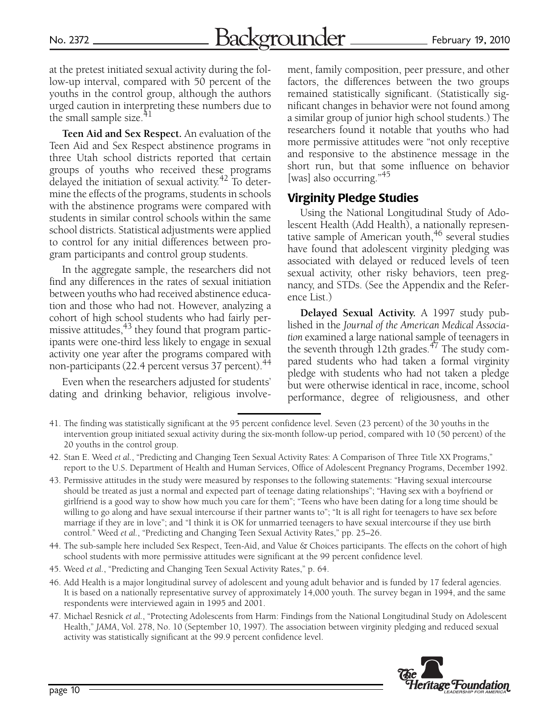at the pretest initiated sexual activity during the follow-up interval, compared with 50 percent of the youths in the control group, although the authors urged caution in interpreting these numbers due to the small sample size. $41$ 

**Teen Aid and Sex Respect.** An evaluation of the Teen Aid and Sex Respect abstinence programs in three Utah school districts reported that certain groups of youths who received these programs delayed the initiation of sexual activity.<sup>42</sup> To determine the effects of the programs, students in schools with the abstinence programs were compared with students in similar control schools within the same school districts. Statistical adjustments were applied to control for any initial differences between program participants and control group students.

In the aggregate sample, the researchers did not find any differences in the rates of sexual initiation between youths who had received abstinence education and those who had not. However, analyzing a cohort of high school students who had fairly permissive attitudes,  $43$  they found that program participants were one-third less likely to engage in sexual activity one year after the programs compared with non-participants (22.4 percent versus 37 percent).<sup>44</sup>

Even when the researchers adjusted for students' dating and drinking behavior, religious involvement, family composition, peer pressure, and other factors, the differences between the two groups remained statistically significant. (Statistically significant changes in behavior were not found among a similar group of junior high school students.) The researchers found it notable that youths who had more permissive attitudes were "not only receptive and responsive to the abstinence message in the short run, but that some influence on behavior [was] also occurring."<sup>45</sup>

### **Virginity Pledge Studies**

Using the National Longitudinal Study of Adolescent Health (Add Health), a nationally representative sample of American youth,  $46$  several studies have found that adolescent virginity pledging was associated with delayed or reduced levels of teen sexual activity, other risky behaviors, teen pregnancy, and STDs. (See the Appendix and the Reference List.)

**Delayed Sexual Activity.** A 1997 study published in the *Journal of the American Medical Association* examined a large national sample of teenagers in the seventh through 12th grades.<sup> $47$ </sup> The study compared students who had taken a formal virginity pledge with students who had not taken a pledge but were otherwise identical in race, income, school performance, degree of religiousness, and other

- 45. Weed *et al.*, "Predicting and Changing Teen Sexual Activity Rates," p. 64.
- 46. Add Health is a major longitudinal survey of adolescent and young adult behavior and is funded by 17 federal agencies. It is based on a nationally representative survey of approximately 14,000 youth. The survey began in 1994, and the same respondents were interviewed again in 1995 and 2001.
- 47. Michael Resnick *et al.*, "Protecting Adolescents from Harm: Findings from the National Longitudinal Study on Adolescent Health," *JAMA*, Vol. 278, No. 10 (September 10, 1997). The association between virginity pledging and reduced sexual activity was statistically significant at the 99.9 percent confidence level.



<sup>41.</sup> The finding was statistically significant at the 95 percent confidence level. Seven (23 percent) of the 30 youths in the intervention group initiated sexual activity during the six-month follow-up period, compared with 10 (50 percent) of the 20 youths in the control group.

<sup>42.</sup> Stan E. Weed *et al.*, "Predicting and Changing Teen Sexual Activity Rates: A Comparison of Three Title XX Programs," report to the U.S. Department of Health and Human Services, Office of Adolescent Pregnancy Programs, December 1992.

<sup>43.</sup> Permissive attitudes in the study were measured by responses to the following statements: "Having sexual intercourse should be treated as just a normal and expected part of teenage dating relationships"; "Having sex with a boyfriend or girlfriend is a good way to show how much you care for them"; "Teens who have been dating for a long time should be willing to go along and have sexual intercourse if their partner wants to"; "It is all right for teenagers to have sex before marriage if they are in love"; and "I think it is OK for unmarried teenagers to have sexual intercourse if they use birth control." Weed *et al.*, "Predicting and Changing Teen Sexual Activity Rates," pp. 25–26.

<sup>44.</sup> The sub-sample here included Sex Respect, Teen-Aid, and Value & Choices participants. The effects on the cohort of high school students with more permissive attitudes were significant at the 99 percent confidence level.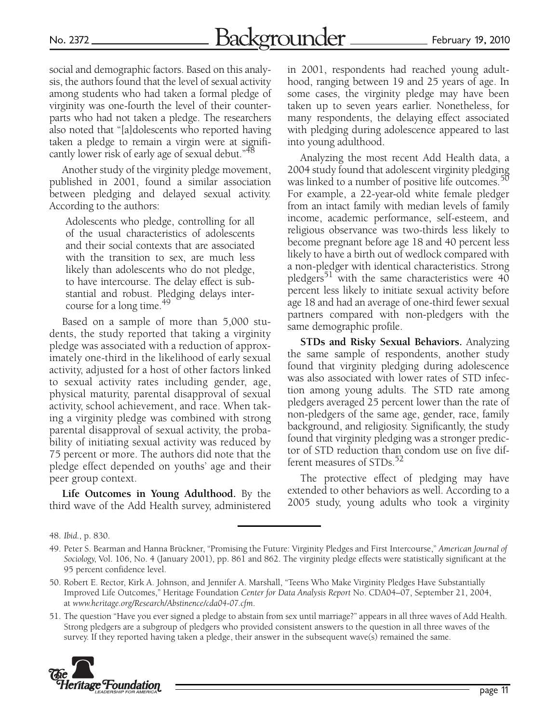social and demographic factors. Based on this analysis, the authors found that the level of sexual activity among students who had taken a formal pledge of virginity was one-fourth the level of their counterparts who had not taken a pledge. The researchers also noted that "[a]dolescents who reported having taken a pledge to remain a virgin were at significantly lower risk of early age of sexual debut."<sup>48</sup>

Another study of the virginity pledge movement, published in 2001, found a similar association between pledging and delayed sexual activity. According to the authors:

Adolescents who pledge, controlling for all of the usual characteristics of adolescents and their social contexts that are associated with the transition to sex, are much less likely than adolescents who do not pledge, to have intercourse. The delay effect is substantial and robust. Pledging delays intercourse for a long time.49

Based on a sample of more than 5,000 students, the study reported that taking a virginity pledge was associated with a reduction of approximately one-third in the likelihood of early sexual activity, adjusted for a host of other factors linked to sexual activity rates including gender, age, physical maturity, parental disapproval of sexual activity, school achievement, and race. When taking a virginity pledge was combined with strong parental disapproval of sexual activity, the probability of initiating sexual activity was reduced by 75 percent or more. The authors did note that the pledge effect depended on youths' age and their peer group context.

**Life Outcomes in Young Adulthood.** By the third wave of the Add Health survey, administered in 2001, respondents had reached young adulthood, ranging between 19 and 25 years of age. In some cases, the virginity pledge may have been taken up to seven years earlier. Nonetheless, for many respondents, the delaying effect associated with pledging during adolescence appeared to last into young adulthood.

Analyzing the most recent Add Health data, a 2004 study found that adolescent virginity pledging was linked to a number of positive life outcomes.<sup>50</sup> For example, a 22-year-old white female pledger from an intact family with median levels of family income, academic performance, self-esteem, and religious observance was two-thirds less likely to become pregnant before age 18 and 40 percent less likely to have a birth out of wedlock compared with a non-pledger with identical characteristics. Strong pledgers<sup>51</sup> with the same characteristics were 40 percent less likely to initiate sexual activity before age 18 and had an average of one-third fewer sexual partners compared with non-pledgers with the same demographic profile.

**STDs and Risky Sexual Behaviors.** Analyzing the same sample of respondents, another study found that virginity pledging during adolescence was also associated with lower rates of STD infection among young adults. The STD rate among pledgers averaged 25 percent lower than the rate of non-pledgers of the same age, gender, race, family background, and religiosity. Significantly, the study found that virginity pledging was a stronger predictor of STD reduction than condom use on five different measures of  $STDs$ .<sup>52</sup>

The protective effect of pledging may have extended to other behaviors as well. According to a 2005 study, young adults who took a virginity

<sup>51.</sup> The question "Have you ever signed a pledge to abstain from sex until marriage?" appears in all three waves of Add Health. Strong pledgers are a subgroup of pledgers who provided consistent answers to the question in all three waves of the survey. If they reported having taken a pledge, their answer in the subsequent wave(s) remained the same.



<sup>48.</sup> *Ibid.*, p. 830.

<sup>49.</sup> Peter S. Bearman and Hanna Brückner, "Promising the Future: Virginity Pledges and First Intercourse," *American Journal of Sociology*, Vol. 106, No. 4 (January 2001), pp. 861 and 862. The virginity pledge effects were statistically significant at the 95 percent confidence level.

<sup>50.</sup> Robert E. Rector, Kirk A. Johnson, and Jennifer A. Marshall, "Teens Who Make Virginity Pledges Have Substantially Improved Life Outcomes," Heritage Foundation *Center for Data Analysis Report* No. CDA04–07, September 21, 2004, at *www.heritage.org/Research/Abstinence/cda04-07.cfm*.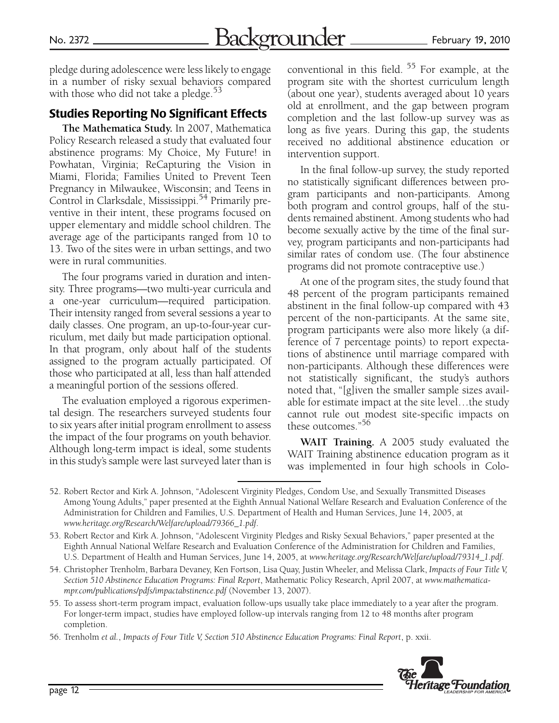pledge during adolescence were less likely to engage in a number of risky sexual behaviors compared with those who did not take a pledge. $53$ 

### **Studies Reporting No Significant Effects**

**The Mathematica Study.** In 2007, Mathematica Policy Research released a study that evaluated four abstinence programs: My Choice, My Future! in Powhatan, Virginia; ReCapturing the Vision in Miami, Florida; Families United to Prevent Teen Pregnancy in Milwaukee, Wisconsin; and Teens in Control in Clarksdale, Mississippi. $54$  Primarily preventive in their intent, these programs focused on upper elementary and middle school children. The average age of the participants ranged from 10 to 13. Two of the sites were in urban settings, and two were in rural communities.

The four programs varied in duration and intensity. Three programs—two multi-year curricula and a one-year curriculum—required participation. Their intensity ranged from several sessions a year to daily classes. One program, an up-to-four-year curriculum, met daily but made participation optional. In that program, only about half of the students assigned to the program actually participated. Of those who participated at all, less than half attended a meaningful portion of the sessions offered.

The evaluation employed a rigorous experimental design. The researchers surveyed students four to six years after initial program enrollment to assess the impact of the four programs on youth behavior. Although long-term impact is ideal, some students in this study's sample were last surveyed later than is conventional in this field.  $55$  For example, at the program site with the shortest curriculum length (about one year), students averaged about 10 years old at enrollment, and the gap between program completion and the last follow-up survey was as long as five years. During this gap, the students received no additional abstinence education or intervention support.

In the final follow-up survey, the study reported no statistically significant differences between program participants and non-participants. Among both program and control groups, half of the students remained abstinent. Among students who had become sexually active by the time of the final survey, program participants and non-participants had similar rates of condom use. (The four abstinence programs did not promote contraceptive use.)

At one of the program sites, the study found that 48 percent of the program participants remained abstinent in the final follow-up compared with 43 percent of the non-participants. At the same site, program participants were also more likely (a difference of 7 percentage points) to report expectations of abstinence until marriage compared with non-participants. Although these differences were not statistically significant, the study's authors noted that, "[g]iven the smaller sample sizes available for estimate impact at the site level…the study cannot rule out modest site-specific impacts on these outcomes."<sup>56</sup>

**WAIT Training.** A 2005 study evaluated the WAIT Training abstinence education program as it was implemented in four high schools in Colo-

<sup>56.</sup> Trenholm *et al.*, *Impacts of Four Title V, Section 510 Abstinence Education Programs: Final Report*, p. xxii.



<sup>52.</sup> Robert Rector and Kirk A. Johnson, "Adolescent Virginity Pledges, Condom Use, and Sexually Transmitted Diseases Among Young Adults," paper presented at the Eighth Annual National Welfare Research and Evaluation Conference of the Administration for Children and Families, U.S. Department of Health and Human Services, June 14, 2005, at *www.heritage.org/Research/Welfare/upload/79366\_1.pdf*.

<sup>53.</sup> Robert Rector and Kirk A. Johnson, "Adolescent Virginity Pledges and Risky Sexual Behaviors," paper presented at the Eighth Annual National Welfare Research and Evaluation Conference of the Administration for Children and Families, U.S. Department of Health and Human Services, June 14, 2005, at *www.heritage.org/Research/Welfare/upload/79314\_1.pdf*.

<sup>54.</sup> Christopher Trenholm, Barbara Devaney, Ken Fortson, Lisa Quay, Justin Wheeler, and Melissa Clark, *Impacts of Four Title V, Section 510 Abstinence Education Programs: Final Report*, Mathematic Policy Research, April 2007, at *www.mathematicampr.com/publications/pdfs/impactabstinence.pdf* (November 13, 2007).

<sup>55.</sup> To assess short-term program impact, evaluation follow-ups usually take place immediately to a year after the program. For longer-term impact, studies have employed follow-up intervals ranging from 12 to 48 months after program completion.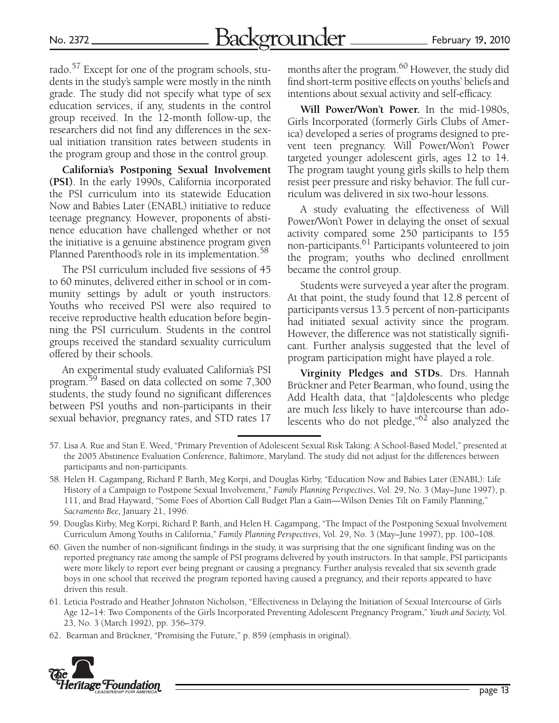rado.57 Except for one of the program schools, students in the study's sample were mostly in the ninth grade. The study did not specify what type of sex education services, if any, students in the control group received. In the 12-month follow-up, the researchers did not find any differences in the sexual initiation transition rates between students in the program group and those in the control group.

**California's Postponing Sexual Involvement (PSI)**. In the early 1990s, California incorporated the PSI curriculum into its statewide Education Now and Babies Later (ENABL) initiative to reduce teenage pregnancy. However, proponents of abstinence education have challenged whether or not the initiative is a genuine abstinence program given Planned Parenthood's role in its implementation.<sup>58</sup>

The PSI curriculum included five sessions of 45 to 60 minutes, delivered either in school or in community settings by adult or youth instructors. Youths who received PSI were also required to receive reproductive health education before beginning the PSI curriculum. Students in the control groups received the standard sexuality curriculum offered by their schools.

An experimental study evaluated California's PSI program.59 Based on data collected on some 7,300 students, the study found no significant differences between PSI youths and non-participants in their sexual behavior, pregnancy rates, and STD rates 17 months after the program.<sup>60</sup> However, the study did find short-term positive effects on youths' beliefs and intentions about sexual activity and self-efficacy.

**Will Power/Won't Power.** In the mid-1980s, Girls Incorporated (formerly Girls Clubs of America) developed a series of programs designed to prevent teen pregnancy. Will Power/Won't Power targeted younger adolescent girls, ages 12 to 14. The program taught young girls skills to help them resist peer pressure and risky behavior. The full curriculum was delivered in six two-hour lessons.

A study evaluating the effectiveness of Will Power/Won't Power in delaying the onset of sexual activity compared some 250 participants to 155 non-participants.61 Participants volunteered to join the program; youths who declined enrollment became the control group.

Students were surveyed a year after the program. At that point, the study found that 12.8 percent of participants versus 13.5 percent of non-participants had initiated sexual activity since the program. However, the difference was not statistically significant. Further analysis suggested that the level of program participation might have played a role.

**Virginity Pledges and STDs.** Drs. Hannah Brückner and Peter Bearman, who found, using the Add Health data, that "[a]dolescents who pledge are much *less* likely to have intercourse than adolescents who do not pledge,"62 also analyzed the

- 57. Lisa A. Rue and Stan E. Weed, "Primary Prevention of Adolescent Sexual Risk Taking: A School-Based Model," presented at the 2005 Abstinence Evaluation Conference, Baltimore, Maryland. The study did not adjust for the differences between participants and non-participants.
- 58. Helen H. Cagampang, Richard P. Barth, Meg Korpi, and Douglas Kirby, "Education Now and Babies Later (ENABL): Life History of a Campaign to Postpone Sexual Involvement," *Family Planning Perspectives*, Vol. 29, No. 3 (May–June 1997), p. 111, and Brad Hayward, "Some Foes of Abortion Call Budget Plan a Gain—Wilson Denies Tilt on Family Planning," *Sacramento Bee*, January 21, 1996.
- 59. Douglas Kirby, Meg Korpi, Richard P. Barth, and Helen H. Cagampang, "The Impact of the Postponing Sexual Involvement Curriculum Among Youths in California," *Family Planning Perspectives*, Vol. 29, No. 3 (May–June 1997), pp. 100–108.
- 60. Given the number of non-significant findings in the study, it was surprising that the one significant finding was on the reported pregnancy rate among the sample of PSI programs delivered by youth instructors. In that sample, PSI participants were more likely to report ever being pregnant or causing a pregnancy. Further analysis revealed that six seventh grade boys in one school that received the program reported having caused a pregnancy, and their reports appeared to have driven this result.
- 61. Leticia Postrado and Heather Johnston Nicholson, "Effectiveness in Delaying the Initiation of Sexual Intercourse of Girls Age 12–14: Two Components of the Girls Incorporated Preventing Adolescent Pregnancy Program," *Youth and Society*, Vol. 23, No. 3 (March 1992), pp. 356–379.
- 62. Bearman and Brückner, "Promising the Future," p. 859 (emphasis in original).

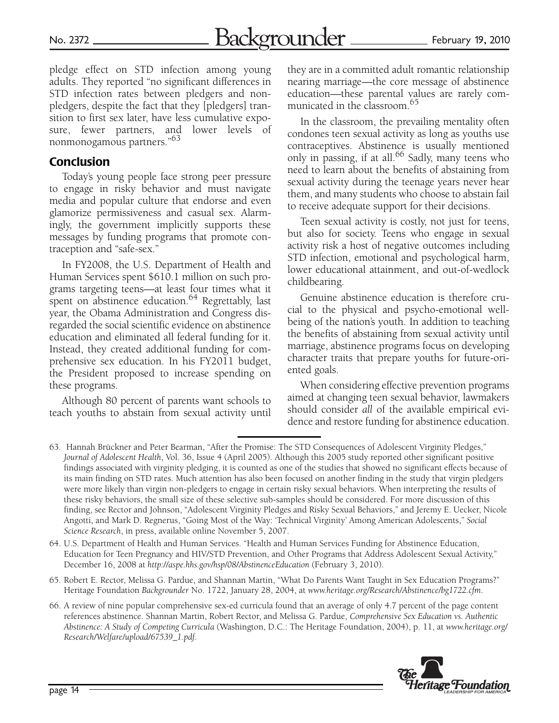pledge effect on STD infection among young adults. They reported "no significant differences in STD infection rates between pledgers and nonpledgers, despite the fact that they [pledgers] transition to first sex later, have less cumulative exposure, fewer partners, and lower levels of nonmonogamous partners."<sup>63</sup>

#### **Conclusion**

Today's young people face strong peer pressure to engage in risky behavior and must navigate media and popular culture that endorse and even glamorize permissiveness and casual sex. Alarmingly, the government implicitly supports these messages by funding programs that promote contraception and "safe-sex."

In FY2008, the U.S. Department of Health and Human Services spent \$610.1 million on such programs targeting teens—at least four times what it spent on abstinence education. $64$  Regrettably, last year, the Obama Administration and Congress disregarded the social scientific evidence on abstinence education and eliminated all federal funding for it. Instead, they created additional funding for comprehensive sex education. In his FY2011 budget, the President proposed to increase spending on these programs.

Although 80 percent of parents want schools to teach youths to abstain from sexual activity until they are in a committed adult romantic relationship nearing marriage—the core message of abstinence education—these parental values are rarely communicated in the classroom.<sup>65</sup>

In the classroom, the prevailing mentality often condones teen sexual activity as long as youths use contraceptives. Abstinence is usually mentioned only in passing, if at all.<sup>66</sup> Sadly, many teens who need to learn about the benefits of abstaining from sexual activity during the teenage years never hear them, and many students who choose to abstain fail to receive adequate support for their decisions.

Teen sexual activity is costly, not just for teens, but also for society. Teens who engage in sexual activity risk a host of negative outcomes including STD infection, emotional and psychological harm, lower educational attainment, and out-of-wedlock childbearing.

Genuine abstinence education is therefore crucial to the physical and psycho-emotional wellbeing of the nation's youth. In addition to teaching the benefits of abstaining from sexual activity until marriage, abstinence programs focus on developing character traits that prepare youths for future-oriented goals.

When considering effective prevention programs aimed at changing teen sexual behavior, lawmakers should consider *all* of the available empirical evidence and restore funding for abstinence education.

64. U.S. Department of Health and Human Services. "Health and Human Services Funding for Abstinence Education, Education for Teen Pregnancy and HIV/STD Prevention, and Other Programs that Address Adolescent Sexual Activity," December 16, 2008 at *http://aspe.hhs.gov/hsp/08/AbstinenceEducation* (February 3, 2010).

65. Robert E. Rector, Melissa G. Pardue, and Shannan Martin, "What Do Parents Want Taught in Sex Education Programs?" Heritage Foundation *Backgrounder* No. 1722, January 28, 2004, at *www.heritage.org/Research/Abstinence/bg1722.cfm*.

66. A review of nine popular comprehensive sex-ed curricula found that an average of only 4.7 percent of the page content references abstinence. Shannan Martin, Robert Rector, and Melissa G. Pardue, *Comprehensive Sex Education vs. Authentic Abstinence: A Study of Competing Curricula* (Washington, D.C.: The Heritage Foundation, 2004), p. 11, at *www.heritage.org/ Research/Welfare/upload/67539\_1.pdf*.



<sup>63.</sup> Hannah Brückner and Peter Bearman, "After the Promise: The STD Consequences of Adolescent Virginity Pledges," *Journal of Adolescent Health*, Vol. 36, Issue 4 (April 2005). Although this 2005 study reported other significant positive findings associated with virginity pledging, it is counted as one of the studies that showed no significant effects because of its main finding on STD rates. Much attention has also been focused on another finding in the study that virgin pledgers were more likely than virgin non-pledgers to engage in certain risky sexual behaviors. When interpreting the results of these risky behaviors, the small size of these selective sub-samples should be considered. For more discussion of this finding, see Rector and Johnson, "Adolescent Virginity Pledges and Risky Sexual Behaviors," and Jeremy E. Uecker, Nicole Angotti, and Mark D. Regnerus, "Going Most of the Way: 'Technical Virginity' Among American Adolescents," *Social Science Research*, in press, available online November 5, 2007.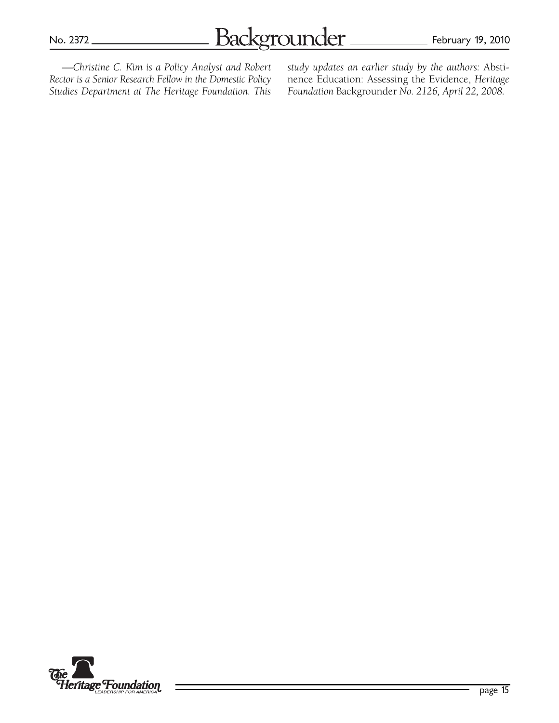—*Christine C. Kim is a Policy Analyst and Robert Rector is a Senior Research Fellow in the Domestic Policy Studies Department at The Heritage Foundation. This* *study updates an earlier study by the authors:* Abstinence Education: Assessing the Evidence, *Heritage Foundation* Backgrounder *No. 2126, April 22, 2008.* 

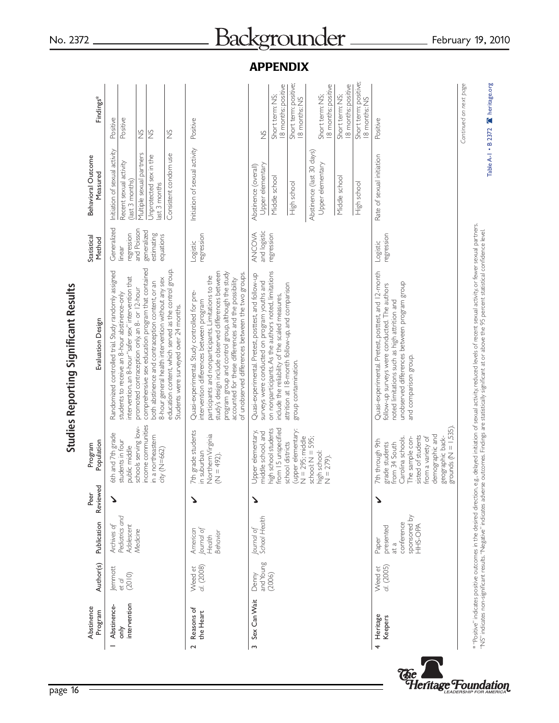| Abstinence<br>Program                                              | Author(s)                  | Publication                                                         | Reviewed<br>Peer | Population<br>Program                                                                                                                                                                                    | Evaluation Design                                                                                                                                                                                                                                                                                                                                                           | Statistical<br>Method                    | <b>Behavioral Outcome</b><br>Measured                                      | Findings*                              |
|--------------------------------------------------------------------|----------------------------|---------------------------------------------------------------------|------------------|----------------------------------------------------------------------------------------------------------------------------------------------------------------------------------------------------------|-----------------------------------------------------------------------------------------------------------------------------------------------------------------------------------------------------------------------------------------------------------------------------------------------------------------------------------------------------------------------------|------------------------------------------|----------------------------------------------------------------------------|----------------------------------------|
| intervention<br>Abstinence-<br>$rac{N}{\sqrt{2N}}$                 | Jemmott<br>(2010)<br>et al | Pediatrics and<br>Adolescent<br>Archives of                         | ↘                | 6th and 7th grade<br>students in four<br>public middle                                                                                                                                                   | Randomized controlled trial. Study randomly assigned<br>intervention, an 8-hour "safer sex" intervention that<br>students to receive an 8-hour abstinence-only                                                                                                                                                                                                              | Generalized<br>regression<br>linear      | Initiation of sexual activity<br>Recent sexual activity<br>(last 3 months) | Positive<br>Positive                   |
|                                                                    |                            | Medicine                                                            |                  | income communities<br>schools serving low-<br>in a northeastern                                                                                                                                          | comprehensive sex education program that contained<br>both abstinence and contraception content, or an<br>promoted contraception only, an 8- or 12-hour                                                                                                                                                                                                                     | and Poisson<br>generalized<br>estimating | Multiple sexual partners<br>Jnprotected sex in the<br>ast 3 months         | $\frac{5}{2}$<br>$\frac{5}{2}$         |
|                                                                    |                            |                                                                     |                  | city (N=662)                                                                                                                                                                                             | education content, which served as the control group.<br>8-hour general health intervention without any sex<br>Students were surveyed over 24 months.                                                                                                                                                                                                                       | equations                                | Consistent condom use                                                      | $\frac{5}{2}$                          |
| Reasons of<br>the Heart<br>$\mathbf{\sim}$                         | al. (2008)<br>Weed et      | American<br>oumal of<br>Behavior<br>Health                          | ↘                | 7th grade students<br>Northem Virginia<br>in suburban<br>$(N = 492)$                                                                                                                                     | study's design include observed differences between<br>program group and control group, although the study<br>of unobserved differences between the two groups.<br>participants and nonparticipants. Limitations to the<br>accounted for these differences and the possibility<br>Quasi-experimental. Study controlled for pre-<br>intervention differences between program | regression<br>Logistic                   | Initiation of sexual activity                                              | Positive                               |
| Sex Can Wait<br>$\sim$                                             | and Young<br>Denny         | School Health<br>oumal of                                           | ζ                | Upper elementary,<br>middle school, and                                                                                                                                                                  | Quasi-experimental. Pretest, posttest, and follow-up<br>surveys were conducted on program youths and                                                                                                                                                                                                                                                                        | and logistic<br>ANCOVA                   | Upper elementary<br>Abstinence (overall)                                   | $\frac{5}{2}$                          |
|                                                                    | (2006)                     |                                                                     |                  | from 15 unspecified<br>high school students                                                                                                                                                              | on nonparticipants. As the authors noted, limitations<br>include the reliability of the scaled measures,                                                                                                                                                                                                                                                                    | regression                               | Middle school                                                              | 18 months: positive<br>Short term: NS; |
|                                                                    |                            |                                                                     |                  | upper elementary:<br>$N = 295$ ; middle<br>school districts                                                                                                                                              | attrition at 18-month follow-up, and comparison<br>group contamination.                                                                                                                                                                                                                                                                                                     |                                          | High school                                                                | Short term: positive;<br>18 months: NS |
|                                                                    |                            |                                                                     |                  | school: N = 595;<br>high school:                                                                                                                                                                         |                                                                                                                                                                                                                                                                                                                                                                             |                                          | Abstinence (last 30 days)<br>Upper elementary                              | Short term: NS;                        |
|                                                                    |                            |                                                                     |                  | $N = 279$                                                                                                                                                                                                |                                                                                                                                                                                                                                                                                                                                                                             |                                          |                                                                            | 18 months: positive                    |
|                                                                    |                            |                                                                     |                  |                                                                                                                                                                                                          |                                                                                                                                                                                                                                                                                                                                                                             |                                          | Middle school                                                              | 18 months: positive<br>Short term: NS; |
|                                                                    |                            |                                                                     |                  |                                                                                                                                                                                                          |                                                                                                                                                                                                                                                                                                                                                                             |                                          | High school                                                                | Short term: positive;<br>18 months: NS |
| Heritage<br><b>Keepers</b><br>4                                    | al. (2005)<br>Weed et      | sponsored by<br>conference<br>HHS-OPA<br>presented<br>Paper<br>at a | ↘                | grounds ( $N = 1,535$ ).<br>demographic and<br>sisted of students<br>geographic back-<br>Carolina schools.<br>The sample con-<br>from a variety of<br>7th through 9th<br>from 34 South<br>grade students | Quasi-experimental. Pretest, posttest, and 12-month<br>unobserved differences between program group<br>follow-up surveys were conducted. The authors<br>noted limitations such as high attrition and<br>and comparison group.                                                                                                                                               | regression<br>Logistic                   | Rate of sexual initiation                                                  | Positive                               |
|                                                                    |                            |                                                                     |                  |                                                                                                                                                                                                          |                                                                                                                                                                                                                                                                                                                                                                             |                                          |                                                                            | Continued on next page                 |
| * "Positive" indicates positive outcomes in the desired direction, |                            |                                                                     |                  |                                                                                                                                                                                                          | e.g., delayed initiation of sexual activity, reduced levels of recent sexual activity, or fewer sexual partners.<br>"NS" indicates non-significant results."Negative" indicates adverse outcomes.Findings are statistically significant at or above the 95 percent statistical confidence level.                                                                            |                                          |                                                                            | Table A-1 . B 2372 Theritage.org       |
|                                                                    |                            |                                                                     |                  |                                                                                                                                                                                                          |                                                                                                                                                                                                                                                                                                                                                                             |                                          |                                                                            |                                        |

ortina Cianificant Doculte **Studies Reporting Significant Results**  $G$ <sub>tur</sub>ding  $\mathsf{P}_{\Omega}$ 



# Backgrounder \_\_\_\_\_\_ February 19, 2010

**APPENDIX**

page 16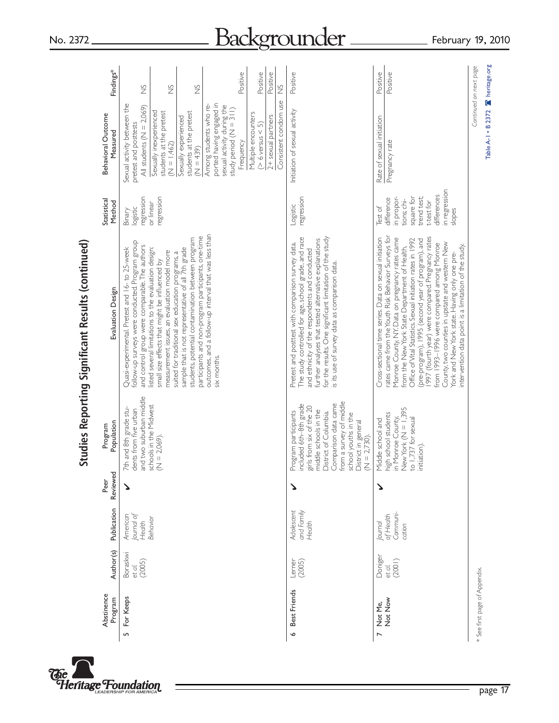|                             |                                     |                                    |                  |                                                                                                                                                                                                                                                   | Studies Reporting Significant Results (continued)                                                                                                                                                                                                                                                                                                                                                                                                                                                                                       |                                                                                                                              |                                                                                                            |                        |
|-----------------------------|-------------------------------------|------------------------------------|------------------|---------------------------------------------------------------------------------------------------------------------------------------------------------------------------------------------------------------------------------------------------|-----------------------------------------------------------------------------------------------------------------------------------------------------------------------------------------------------------------------------------------------------------------------------------------------------------------------------------------------------------------------------------------------------------------------------------------------------------------------------------------------------------------------------------------|------------------------------------------------------------------------------------------------------------------------------|------------------------------------------------------------------------------------------------------------|------------------------|
| Abstinence<br>Program       | Author(s)                           | Publication                        | Reviewed<br>Peer | Population<br>Program                                                                                                                                                                                                                             | Evaluation Design                                                                                                                                                                                                                                                                                                                                                                                                                                                                                                                       | Statistical<br>Method                                                                                                        | Behavioral Outcome<br>Measured                                                                             | Findings*              |
| For Keeps<br>LO.            | <b>Boraskwi</b><br>(2005)<br>et al. | American<br>ournal of<br>Health    | ↘                | and two suburban middle<br>7th and 8th grade stu-<br>dents from five urban                                                                                                                                                                        | follow-up surveys were conducted. Program group<br>and control group were comparable. The authors<br>Quasi-experimental. Pretest and 16- to 25-week                                                                                                                                                                                                                                                                                                                                                                                     | regression<br>logistic<br>Binary                                                                                             | Sexual activity between the<br>All students ( $N = 2,069$ )<br>pretest and posttests                       | $\frac{5}{2}$          |
|                             |                                     | Behavior                           |                  | schools in the Midwest<br>$(N = 2,069)$ .                                                                                                                                                                                                         | listed several limitations to the evaluation design:<br>measurement issues, an evaluation model more<br>suited for traditional sex education programs, a<br>small size effects that might be influenced by                                                                                                                                                                                                                                                                                                                              | regression<br>or linear                                                                                                      | Sexually inexperienced<br>students at the pretest<br>$(N = 1,462)$                                         | $\frac{5}{2}$          |
|                             |                                     |                                    |                  |                                                                                                                                                                                                                                                   | participants and non-program participants, one-time<br>students, potential contamination between program<br>sample that is not representative of all 7th grade                                                                                                                                                                                                                                                                                                                                                                          |                                                                                                                              | students at the pretest<br>Sexually experienced<br>$(N = 439)$                                             | $\frac{5}{2}$          |
|                             |                                     |                                    |                  |                                                                                                                                                                                                                                                   | outcomes, and a follow-up interval that was less than<br>six months.                                                                                                                                                                                                                                                                                                                                                                                                                                                                    |                                                                                                                              | ported having engaged in<br>sexual activity during the<br>study period (N = 311)<br>Among students who re- |                        |
|                             |                                     |                                    |                  |                                                                                                                                                                                                                                                   |                                                                                                                                                                                                                                                                                                                                                                                                                                                                                                                                         |                                                                                                                              | Frequency                                                                                                  | Positive               |
|                             |                                     |                                    |                  |                                                                                                                                                                                                                                                   |                                                                                                                                                                                                                                                                                                                                                                                                                                                                                                                                         |                                                                                                                              | Multiple encounters<br>$(5 > 6$ versus $(5)$                                                               | Positive               |
|                             |                                     |                                    |                  |                                                                                                                                                                                                                                                   |                                                                                                                                                                                                                                                                                                                                                                                                                                                                                                                                         |                                                                                                                              | 2+ sexual partners                                                                                         | Positive               |
|                             |                                     |                                    |                  |                                                                                                                                                                                                                                                   |                                                                                                                                                                                                                                                                                                                                                                                                                                                                                                                                         |                                                                                                                              | Consistent condom use                                                                                      | $\frac{5}{2}$          |
| Best Friends<br>o           | Lerner<br>(2005)                    | Adolescent<br>and Family<br>Health | ↘                | from a survey of middle<br>Comparison data came<br>included 6th-8th grade<br>girls from six of the 20<br>middle schools in the<br>District of Columbia.<br>Program participants<br>school youths in the<br>District in general<br>$(N = 2,730)$ . | The study controlled for age, school grade, and race<br>for the results. One significant limitation of the study<br>further analyses that tested alternative explanations<br>Pretest and posttest with comparison survey data.<br>and ethnicity of the respondents and conducted<br>is its use of survey data as comparison data.                                                                                                                                                                                                       | regression<br>Logistic                                                                                                       | Initiation of sexual activity                                                                              | Positive               |
| Not Me,<br>$\overline{a}$   | Doniger                             | Journal                            | ↘                | Middle school and                                                                                                                                                                                                                                 | Cross-sectional time series. Data on sexual initiation                                                                                                                                                                                                                                                                                                                                                                                                                                                                                  | Test of                                                                                                                      | Rate of sexual initiation                                                                                  | Positive               |
| Not Now                     | (2001)<br>et al.                    | Communi-<br>of Health<br>cation    |                  | New York (N = 1,395<br>high school students<br>in Monroe County,<br>to 1,737 for sexual<br>initiation).                                                                                                                                           | rates came from the Youth Risk Behavior Surveys for<br>997 (fourth year) were compared. Pregnancy rates<br>Monroe County, NY. Data on pregnancy rates came<br>Office of Vital Statistics. Sexual initiation rates in 1992<br>pre-program), 1995 (second year of program), and<br>County, two counties in upstate and western New<br>from 1993-1996 were compared among Monroe<br>ntervention data point is a limitation of the study.<br>from the New York State Department of Health,<br>York and New York state. Having only one pre- | in regression<br>differences<br>square for<br>trend test;<br>in propor-<br>difference<br>tions; chi-<br>t-test for<br>slopes | Pregnancy rate                                                                                             | Positive               |
| See first page of Appendix. |                                     |                                    |                  |                                                                                                                                                                                                                                                   |                                                                                                                                                                                                                                                                                                                                                                                                                                                                                                                                         |                                                                                                                              |                                                                                                            | Continued on next page |
|                             |                                     |                                    |                  |                                                                                                                                                                                                                                                   |                                                                                                                                                                                                                                                                                                                                                                                                                                                                                                                                         |                                                                                                                              | Table A-1 . B 2372                                                                                         | Theritage.org          |

The Heritage Toundation

No. 2372 February 19, 2010

page 17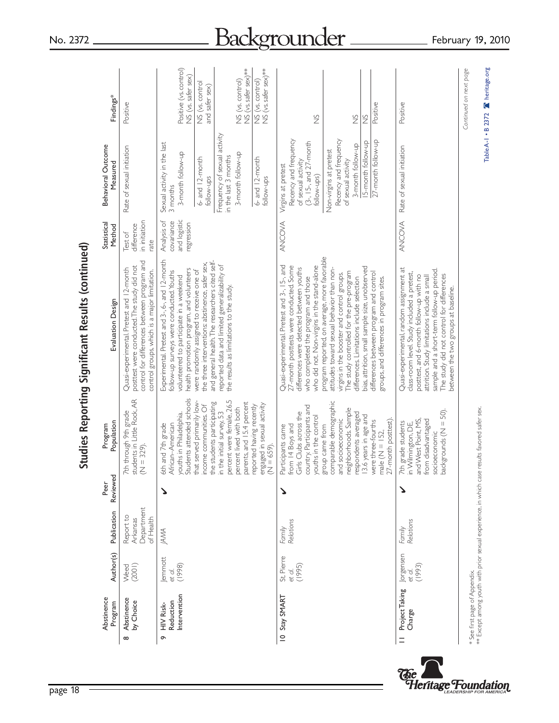| Abstinence<br>Program                       | Author(s)                      | Publication                                      | Reviewed<br>Peer | Population<br>Program                                                                                                               | Evaluation Design                                                                                                                                                                                                                                                                                                   | Statistical<br>Method                                   | Behavioral Outcome<br>Measured                                                                             | Findings*                                    |
|---------------------------------------------|--------------------------------|--------------------------------------------------|------------------|-------------------------------------------------------------------------------------------------------------------------------------|---------------------------------------------------------------------------------------------------------------------------------------------------------------------------------------------------------------------------------------------------------------------------------------------------------------------|---------------------------------------------------------|------------------------------------------------------------------------------------------------------------|----------------------------------------------|
| Abstinence<br>by Choice<br>$\infty$         | (2001)<br>Weed                 | Department<br>Report to<br>Arkansas<br>of Health |                  | students in Little Rock, AR<br>7th through 9th grade<br>$(N = 329)$ .                                                               | control for differences between program and<br>posttest were conducted. The study did not<br>Quasi-experimental. Pretest and 12-month<br>control groups, which is a major limitation.                                                                                                                               | in initiation<br>difference<br>Test of<br>rate          | Rate of sexual initiation                                                                                  | Positive                                     |
| Intervention<br>Reduction<br>HIV Risk-<br>ó | lemmott<br>(1998)<br>et al.    | <b>AVA</b>                                       | ↘                | Students attended schools<br>that served primarily low-<br>youths in Philadelphia.<br>African-American<br>6th and 7th grade         | Experimental. Pretest and 3-, 6-, and 12-month<br>health promotion program, and volunteers<br>follow-up surveys were conducted. Youths<br>volunteered to participate in a weekend                                                                                                                                   | and logistic<br>covariance<br>Analysis of<br>regression | Sexual activity in the last<br>3-month follow-up<br>3 months                                               | Positive (vs. control)<br>NS (vs. safer sex) |
|                                             |                                |                                                  |                  | the students participating<br>income communities. Of                                                                                | and general health. The researchers cited self-<br>the three interventions: abstinence, safer sex,<br>were randomly assigned to receive one of                                                                                                                                                                      |                                                         | 6- and 12-month<br>follow-ups                                                                              | NS (vs. control<br>and safer sex)            |
|                                             |                                |                                                  |                  | percent were female, 26.5<br>parents, and 15.4 percent<br>percent lived with both<br>in the initial survey, 53                      | reported data and limited generalizability of<br>the results as limitations to the study.                                                                                                                                                                                                                           |                                                         | Frequency of sexual activity<br>3-month follow-up<br>in the last 3 months                                  | NS (vs. control)<br>NS (vs. safer sex)**     |
|                                             |                                |                                                  |                  | engaged in sexual activity<br>reported having recently<br>$(N = 659)$ .                                                             |                                                                                                                                                                                                                                                                                                                     |                                                         | 6- and 12-month<br>follow-ups                                                                              | NS (vs. control)<br>NS (vs. safer sex)**     |
| 10 Stay SMART                               | St. Pierre<br>et al.<br>(1995) | Relations<br>Family                              | ↘                | country, Participants and<br>Girls Clubs across the<br>youths in the control<br>from 14 Boys and<br>Participants came               | Quasi-experimental. Pretest and 3-, 15-, and<br>who did not. Non-virgins in the stand-alone<br>27-month posttests were conducted. Some<br>differences were detected between youths<br>who completed the program and those                                                                                           | ANCOVA                                                  | Recency and frequency<br>(3-, 15-, and 27-month<br>of sexual activity<br>Virgins at pretest<br>follow-ups) | $\frac{5}{2}$                                |
|                                             |                                |                                                  |                  | comparable demographic<br>neighborhoods. Sample<br>and socioeconomic<br>group came from                                             | program reported, on average, more favorable<br>attitudes toward sexual behavior than non-<br>The study controlled for the pre-program<br>virgins in the booster and control groups.                                                                                                                                |                                                         | Recency and frequency<br>Non-virgins at pretest<br>of sexual activity                                      |                                              |
|                                             |                                |                                                  |                  | respondents averaged<br>13.6 years in age and                                                                                       | bias, attrition, small sample size, unobserved<br>differences. Limitations include selection                                                                                                                                                                                                                        |                                                         | IS-month follow-up<br>3-month follow-up                                                                    | $\frac{5}{2}$<br>$\frac{5}{2}$               |
|                                             |                                |                                                  |                  | were three-fourths<br>27-month posttest)<br>male ( $N = 152$ ,                                                                      | differences between program and control<br>groups, and differences in program sites.                                                                                                                                                                                                                                |                                                         | 27-month follow-up                                                                                         | Positive                                     |
| Project Taking<br>Charge<br>$=$             | Jorgensen<br>(1993)<br>et al.  | Relations<br>Family                              | ↘                | $= 50.$<br>and West Point, MS,<br>from disadvantaged<br>7th grade students<br>in Wilmington, DE,<br>backgrounds (N<br>socioeconomic | Quasi-experimental, random assignment at<br>sample and a short-term follow-up period.<br>class-room level. Study included a pretest,<br>The study did not control for differences<br>posttest, and 6-month follow-up with no<br>attrition. Study limitations include a small<br>between the two groups at baseline. | ANCOVA                                                  | Rate of sexual initiation                                                                                  | Positive                                     |
| * See first page of Appendix.               |                                |                                                  |                  |                                                                                                                                     |                                                                                                                                                                                                                                                                                                                     |                                                         |                                                                                                            | Continued on next page                       |
|                                             |                                |                                                  |                  | ** Except among youth with prior sexual experience, in which case results favored safer sex.                                        |                                                                                                                                                                                                                                                                                                                     |                                                         |                                                                                                            | Table A-1 . B 2372 Theritage.org             |

Studies Reporting Significant Results (continued) **Studies Reporting Signifi cant Results (continued)**

page 18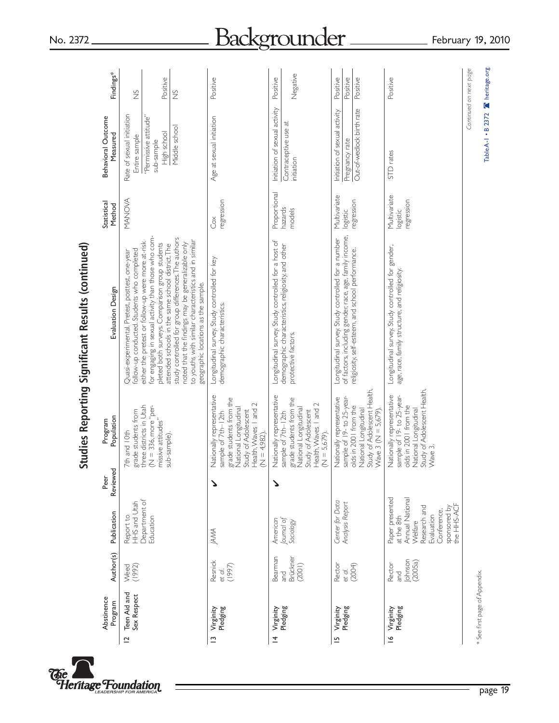|                         |                               |                                     |                                                                                                                                         |                  |               |                                                                                                                                                     | Studies Reporting Significant Results (continued)                                                                                                                                                               |                                        |                                                    |                        |
|-------------------------|-------------------------------|-------------------------------------|-----------------------------------------------------------------------------------------------------------------------------------------|------------------|---------------|-----------------------------------------------------------------------------------------------------------------------------------------------------|-----------------------------------------------------------------------------------------------------------------------------------------------------------------------------------------------------------------|----------------------------------------|----------------------------------------------------|------------------------|
|                         | Abstinence<br>Program         | Author(s)                           | Publication                                                                                                                             | Reviewed<br>Peer |               | Population<br>Program                                                                                                                               | Evaluation Design                                                                                                                                                                                               | Statistical<br>Method                  | <b>Behavioral Outcome</b><br>Measured              | Findings*              |
| $\overline{\mathbf{r}}$ | Teen Aid and<br>Sex Respect   | (1992)<br>Weed                      | HHS and Utah<br>Report to                                                                                                               |                  | 7th and 10th  | grade students from                                                                                                                                 | follow-up conducted. Students who completed<br>Quasi-experimental. Pretest, posttest, one-year                                                                                                                  | MANOVA                                 | Rate of sexual initiation<br>Entire sample         | $\frac{6}{2}$          |
|                         |                               |                                     | Department of<br>Education                                                                                                              |                  | sub-sample).  | three districts in Utah<br>$(N = 336,$ more "per-<br>missive attitudes"                                                                             | for engaging in sexual activity than those who com-<br>either the pretest or follow-up were more at-risk<br>pleted both surveys. Comparison group students<br>attended schools in the same school district. The |                                        | "Permissive attitude"<br>High school<br>sub-sample | Positive               |
|                         |                               |                                     |                                                                                                                                         |                  |               |                                                                                                                                                     | study controlled for group differences. The authors<br>to youths with similar characteristics and in similar<br>noted that the findings may be generalizable only<br>geographic locations as the sample.        |                                        | Middle school                                      | $\frac{8}{2}$          |
| $\tilde{ }$             | Pledging<br>Virginity         | Resnick<br>(1997)<br>et al.         | <b>AMA</b>                                                                                                                              | ゝ                | $(N = 4,982)$ | Nationally representative<br>grade students from the<br>Health, Waves I and 2<br>National Longitudinal<br>Study of Adolescent<br>sample of 7th-12th | Longitudinal survey, Study controlled for key<br>demographic characteristics.                                                                                                                                   | regression<br>ð                        | Age at sexual initiation                           | Positive               |
| $\overline{4}$          | Virginity                     | Bearman                             | American                                                                                                                                | ↘                |               | Nationally representative                                                                                                                           | Longitudinal survey. Study controlled for a host of                                                                                                                                                             | Proportional                           | Initiation of sexual activity                      | Positive               |
|                         | Pledging                      | <b>Brückner</b><br>(2001)<br>pue    | oumal of<br>Sociology                                                                                                                   |                  | $(N = 5,679)$ | grade students from the<br>Health, Waves I and 2<br>National Longitudinal<br>Study of Adolescent<br>sample of 7th-12th                              | demographic characteristics, religiosity, and other<br>protective factors.                                                                                                                                      | hazards<br>models                      | Contraceptive use at<br>initiation                 | Negative               |
| $\overline{5}$          | Pledging<br>Virginity         | Rector<br>et al.                    | Center for Data<br>Analysis Report                                                                                                      |                  |               | Nationally representative<br>sample of 19- to 25-year-                                                                                              | of factors, including gender, race, age, family income,<br>Longitudinal survey. Study controlled for a number                                                                                                   | Multivariate<br>logistic               | Initiation of sexual activity<br>Pregnancy rate    | Positive<br>Positive   |
|                         |                               | (2004)                              |                                                                                                                                         |                  |               | Study of Adolescent Health<br>olds in 2001 from the<br>National Longitudinal<br>Wave 3 (N = 5,679).                                                 | religiosity, self-esteem, and school performance.                                                                                                                                                               | regression                             | Out-of-wedlock birth rate                          | Positive               |
| $\frac{6}{1}$           | Virginity<br>Pledging         | Johnson<br>(2005a)<br>Rector<br>pue | Paper presented<br>Annual National<br>the HHS-ACF<br>Research and<br>sponsored by<br>Conference,<br>Evaluation<br>at the 8th<br>Welfare |                  | Wave 3.       | Study of Adolescent Health,<br>Nationally representative<br>sample of 19- to 25-year-<br>olds in 2001 from the<br>National Longitudinal             | Longitudinal survey. Study controlled for gender,<br>age, race, family structure, and religiosity.                                                                                                              | Multivariate<br>regression<br>logistic | STD rates                                          | Positive               |
|                         | * See first page of Appendix. |                                     |                                                                                                                                         |                  |               |                                                                                                                                                     |                                                                                                                                                                                                                 |                                        |                                                    | Continued on next page |
|                         |                               |                                     |                                                                                                                                         |                  |               |                                                                                                                                                     |                                                                                                                                                                                                                 |                                        | Table A-1 . B 2372 R heritage.org                  |                        |



 $\overline{\phantom{a}}$ 

# No. 2372 February 19, 2010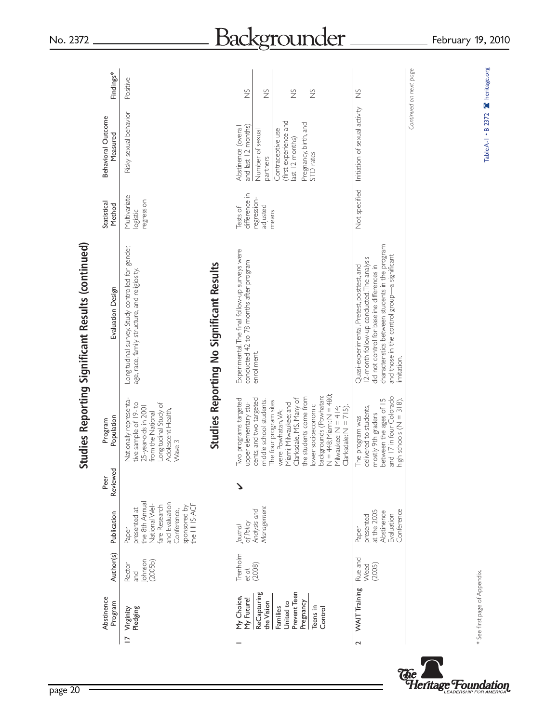| Continued on next page<br>Findings*<br>Positive<br>$\frac{5}{2}$<br>$\frac{5}{2}$<br>$\frac{5}{2}$<br>$\frac{5}{2}$<br>$\frac{8}{2}$<br>Initiation of sexual activity<br>Risky sexual behavior<br><b>Behavioral Outcome</b><br>first experience and<br>Pregnancy, birth, and<br>and last 12 months)<br>Abstinence (overall<br>Contraceptive use<br>Number of sexual<br>Measured<br>ast 12 months)<br>STD rates<br>partners<br>Not specified<br>difference in<br>Multivariate<br>regression-<br>regression<br>Statistical<br>Method<br>adjusted<br>Tests of<br>logistic<br>means<br>characteristics between students in the program<br>Longitudinal survey. Study controlled for gender,<br>Experimental. The final follow-up surveys were<br>-a significant<br>12-month follow-up conducted. The analysis<br>conducted 42 to 78 months after program<br>Studies Reporting No Significant Results<br>Quasi-experimental. Pretest, posttest, and<br>did not control for baseline differences in<br>age, race, family structure, and religiosity<br>Evaluation Design<br>and those in the control group-<br>enrollment.<br>imitation.<br>$\frac{1}{2}$ $\frac{1}{2}$ $\frac{1}{2}$ $\frac{1}{2}$ $\frac{1}{2}$ $\frac{1}{2}$ $\frac{1}{2}$ $\frac{1}{2}$ $\frac{1}{2}$ $\frac{1}{2}$ $\frac{1}{2}$ $\frac{1}{2}$ $\frac{1}{2}$ $\frac{1}{2}$ $\frac{1}{2}$ $\frac{1}{2}$ $\frac{1}{2}$ $\frac{1}{2}$ $\frac{1}{2}$ $\frac{1}{2}$ $\frac{1}{2}$ $\frac{1}{2}$<br>backgrounds (Powhatan:<br>and 17 in four Colorado<br>the students come from<br>Two programs targeted<br>dents, and two targeted<br>between the ages of 15<br>Nationally representa-<br>Clarksdale, MS. Many of<br>middle school students.<br>The four program sites<br>high schools ( $N = 318$ )<br>upper elementary stu-<br>tive sample of 19-to<br>Longitudinal Study of<br>Miami; Milwaukee; and<br>lower socioeconomic<br>25-year-olds in 2001<br>Milwaukee: N = 414;<br>Clarksdale: N = 715)<br>delivered to students,<br>Adolescent Health,<br>were Powhatan, VA;<br>from the National<br>mostly 9th graders<br>Population<br>The program was<br>Program<br>Wave 3<br>Reviewed<br>Peer<br>the 8th Annual<br>and Evaluation<br>National Wel-<br>the HHS-ACF<br>fare Research<br>sponsored by<br>Management<br>presented at<br>Conference,<br>Analysis and<br>Conference<br>at the 2005<br>Abstinence<br>Publication<br>Evaluation<br>presented<br>of Policy<br>ournal<br>Paper<br>Paper<br>Author(s)<br>Trenholm<br>Rue and<br>Johnson<br>(2005b)<br>(2008)<br>Weed<br>(2005)<br>Rector<br>et al.<br>and<br><b>WAIT Training</b><br>Prevent Teen<br>ReCapturing<br>My Choice,<br>Abstinence<br>My Future!<br>United to<br>Pregnancy<br>Program<br>the Vision<br>Families<br>Teens in<br>Pledging<br>Control<br>Virginity<br>$\overline{\phantom{0}}$<br>$\sim$ |  |  |  | <b>Studies Reporting Significant Results (continued</b> |  |  |
|-----------------------------------------------------------------------------------------------------------------------------------------------------------------------------------------------------------------------------------------------------------------------------------------------------------------------------------------------------------------------------------------------------------------------------------------------------------------------------------------------------------------------------------------------------------------------------------------------------------------------------------------------------------------------------------------------------------------------------------------------------------------------------------------------------------------------------------------------------------------------------------------------------------------------------------------------------------------------------------------------------------------------------------------------------------------------------------------------------------------------------------------------------------------------------------------------------------------------------------------------------------------------------------------------------------------------------------------------------------------------------------------------------------------------------------------------------------------------------------------------------------------------------------------------------------------------------------------------------------------------------------------------------------------------------------------------------------------------------------------------------------------------------------------------------------------------------------------------------------------------------------------------------------------------------------------------------------------------------------------------------------------------------------------------------------------------------------------------------------------------------------------------------------------------------------------------------------------------------------------------------------------------------------------------------------------------------------------------------------------------------------------------------------------------------------------------------------------------------------------------------------------------------------------------------------------------------------------------------------------------------------------------------------------------------------------------------------------------------------------------------------------------------------------------------------------------------------|--|--|--|---------------------------------------------------------|--|--|
|                                                                                                                                                                                                                                                                                                                                                                                                                                                                                                                                                                                                                                                                                                                                                                                                                                                                                                                                                                                                                                                                                                                                                                                                                                                                                                                                                                                                                                                                                                                                                                                                                                                                                                                                                                                                                                                                                                                                                                                                                                                                                                                                                                                                                                                                                                                                                                                                                                                                                                                                                                                                                                                                                                                                                                                                                                   |  |  |  |                                                         |  |  |
|                                                                                                                                                                                                                                                                                                                                                                                                                                                                                                                                                                                                                                                                                                                                                                                                                                                                                                                                                                                                                                                                                                                                                                                                                                                                                                                                                                                                                                                                                                                                                                                                                                                                                                                                                                                                                                                                                                                                                                                                                                                                                                                                                                                                                                                                                                                                                                                                                                                                                                                                                                                                                                                                                                                                                                                                                                   |  |  |  |                                                         |  |  |
|                                                                                                                                                                                                                                                                                                                                                                                                                                                                                                                                                                                                                                                                                                                                                                                                                                                                                                                                                                                                                                                                                                                                                                                                                                                                                                                                                                                                                                                                                                                                                                                                                                                                                                                                                                                                                                                                                                                                                                                                                                                                                                                                                                                                                                                                                                                                                                                                                                                                                                                                                                                                                                                                                                                                                                                                                                   |  |  |  |                                                         |  |  |
|                                                                                                                                                                                                                                                                                                                                                                                                                                                                                                                                                                                                                                                                                                                                                                                                                                                                                                                                                                                                                                                                                                                                                                                                                                                                                                                                                                                                                                                                                                                                                                                                                                                                                                                                                                                                                                                                                                                                                                                                                                                                                                                                                                                                                                                                                                                                                                                                                                                                                                                                                                                                                                                                                                                                                                                                                                   |  |  |  |                                                         |  |  |
|                                                                                                                                                                                                                                                                                                                                                                                                                                                                                                                                                                                                                                                                                                                                                                                                                                                                                                                                                                                                                                                                                                                                                                                                                                                                                                                                                                                                                                                                                                                                                                                                                                                                                                                                                                                                                                                                                                                                                                                                                                                                                                                                                                                                                                                                                                                                                                                                                                                                                                                                                                                                                                                                                                                                                                                                                                   |  |  |  |                                                         |  |  |
|                                                                                                                                                                                                                                                                                                                                                                                                                                                                                                                                                                                                                                                                                                                                                                                                                                                                                                                                                                                                                                                                                                                                                                                                                                                                                                                                                                                                                                                                                                                                                                                                                                                                                                                                                                                                                                                                                                                                                                                                                                                                                                                                                                                                                                                                                                                                                                                                                                                                                                                                                                                                                                                                                                                                                                                                                                   |  |  |  |                                                         |  |  |
|                                                                                                                                                                                                                                                                                                                                                                                                                                                                                                                                                                                                                                                                                                                                                                                                                                                                                                                                                                                                                                                                                                                                                                                                                                                                                                                                                                                                                                                                                                                                                                                                                                                                                                                                                                                                                                                                                                                                                                                                                                                                                                                                                                                                                                                                                                                                                                                                                                                                                                                                                                                                                                                                                                                                                                                                                                   |  |  |  |                                                         |  |  |
|                                                                                                                                                                                                                                                                                                                                                                                                                                                                                                                                                                                                                                                                                                                                                                                                                                                                                                                                                                                                                                                                                                                                                                                                                                                                                                                                                                                                                                                                                                                                                                                                                                                                                                                                                                                                                                                                                                                                                                                                                                                                                                                                                                                                                                                                                                                                                                                                                                                                                                                                                                                                                                                                                                                                                                                                                                   |  |  |  |                                                         |  |  |
|                                                                                                                                                                                                                                                                                                                                                                                                                                                                                                                                                                                                                                                                                                                                                                                                                                                                                                                                                                                                                                                                                                                                                                                                                                                                                                                                                                                                                                                                                                                                                                                                                                                                                                                                                                                                                                                                                                                                                                                                                                                                                                                                                                                                                                                                                                                                                                                                                                                                                                                                                                                                                                                                                                                                                                                                                                   |  |  |  |                                                         |  |  |
|                                                                                                                                                                                                                                                                                                                                                                                                                                                                                                                                                                                                                                                                                                                                                                                                                                                                                                                                                                                                                                                                                                                                                                                                                                                                                                                                                                                                                                                                                                                                                                                                                                                                                                                                                                                                                                                                                                                                                                                                                                                                                                                                                                                                                                                                                                                                                                                                                                                                                                                                                                                                                                                                                                                                                                                                                                   |  |  |  |                                                         |  |  |

# Backgrounder \_\_\_\_\_\_ February 19, 2010

\* See first page of Appendix. \* See fi rst page of Appendix.

The Heritage Foundation

Table A-1 . B 2372 2 heritage.org heritage.org Table A-1 • B 2372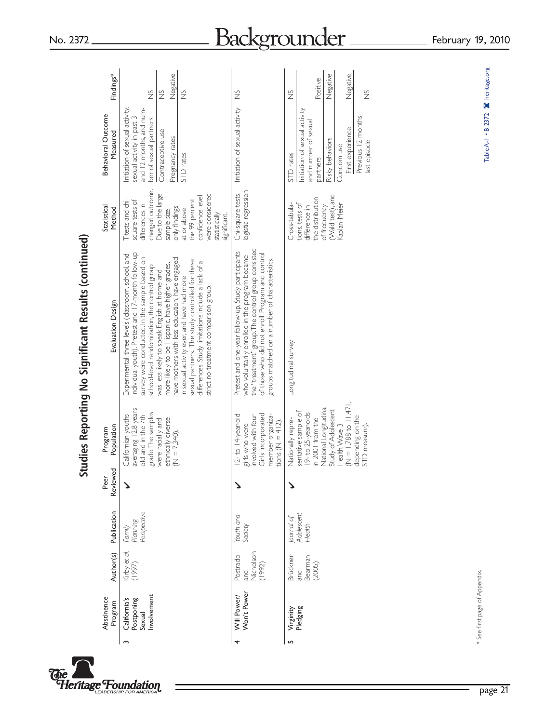|        |                                                     |                                        |                                   |                  |                                                                                                                                                                                                                               | Studies Reporting No Significant Results (continued)                                                                                                                                                                                                                                                                                                                                                                                                                                                                                                           |                                                                                                                                                                                                                                         |                                                                                                                                                                                   |                                                                    |
|--------|-----------------------------------------------------|----------------------------------------|-----------------------------------|------------------|-------------------------------------------------------------------------------------------------------------------------------------------------------------------------------------------------------------------------------|----------------------------------------------------------------------------------------------------------------------------------------------------------------------------------------------------------------------------------------------------------------------------------------------------------------------------------------------------------------------------------------------------------------------------------------------------------------------------------------------------------------------------------------------------------------|-----------------------------------------------------------------------------------------------------------------------------------------------------------------------------------------------------------------------------------------|-----------------------------------------------------------------------------------------------------------------------------------------------------------------------------------|--------------------------------------------------------------------|
|        | Abstinence<br>Program                               | Author(s)                              | Publication                       | Reviewed<br>Peer | Population<br>Program                                                                                                                                                                                                         | Evaluation Design                                                                                                                                                                                                                                                                                                                                                                                                                                                                                                                                              | Statistical<br>Method                                                                                                                                                                                                                   | <b>Behavioral Outcome</b><br>Measured                                                                                                                                             | Findings*                                                          |
| $\sim$ | Involvement<br>California's<br>Postponing<br>Sexual | Kirby et al.<br>(1997)                 | Perspective<br>Planning<br>Family | ↘                | averaging 12.8 years<br>grade. The samples<br>Californian youths<br>old and in the 7th<br>ethnically diverse<br>were racially and<br>$(N = 7,340)$                                                                            | individual youth). Pretest and 17-month follow-up<br>Experimental, three levels (classroom, school, and<br>survey were conducted. In the sample based on<br>have mothers with less education, have engaged<br>sexual partners. The study controlled for these<br>differences. Study limitations include a lack of a<br>more likely to be Hispanic, have higher grades,<br>school-level randomization, the control group<br>was less likely to speak English at home and<br>in sexual activity ever, and have had more<br>strict no-treatment comparison group. | changed outcome.<br>Due to the large<br>were considered<br>confidence level<br>T-tests and chi-<br>the 99 percent<br>square tests of<br>differences in<br>only findings<br>sample size,<br>at or above<br>statistically<br>significant. | and 12 months, and num-<br>Initiation of sexual activity<br>sexual activity in past 3<br>ber of sexual partners<br>Contraceptive use<br>Pregnancy rates<br>STD rates              | Negative<br>$\frac{5}{2}$<br>$\frac{5}{2}$<br>$\frac{5}{2}$        |
| 4      | Won't Power<br>Will Power/                          | Nicholson<br>(1992)<br>Postrado<br>and | Youth and<br>Society              | ↘                | Girls Incorporated<br>involved with four<br>12-to 14-year-old<br>member organiza-<br>tions (N = 412).<br>girls who were                                                                                                       | the "treatment" group.The control group consisted<br>of those who did not enroll. Program and control<br>Pretest and one-year follow-up. Study participants<br>who voluntarily enrolled in the program became<br>groups matched on a number of characteristics.                                                                                                                                                                                                                                                                                                | logistic regression<br>Chi-square tests,                                                                                                                                                                                                | Initiation of sexual activity                                                                                                                                                     | $\frac{5}{2}$                                                      |
| LO     | Pledging<br>Virginity                               | Bearman<br>Brückner<br>(2005)<br>and   | Adolescent<br>ournal of<br>Health | ↘                | ( $N = 1,788$ to $11,471$ ,<br><b>National Longitudinal</b><br>Study of Adolescent<br>sentative sample of<br>19-to 25-year-olds<br>depending on the<br>n 2001 from the<br>Nationally repre-<br>Health, Wave 3<br>STD measure) | Longitudinal survey.                                                                                                                                                                                                                                                                                                                                                                                                                                                                                                                                           | (Wald test), and<br>the distribution<br>Kaplan-Meier<br>tions, tests of<br>Cross-tabula-<br>of frequency<br>difference in                                                                                                               | Initiation of sexual activity<br>Previous 12 months,<br>and number of sexual<br>First experience<br>Risky behaviors<br>last episode<br>Condom use<br><b>STD</b> rates<br>partners | Negative<br>Negative<br>Positive<br>$\frac{5}{2}$<br>$\frac{5}{2}$ |
|        | * See first page of Appendix.                       |                                        |                                   |                  |                                                                                                                                                                                                                               |                                                                                                                                                                                                                                                                                                                                                                                                                                                                                                                                                                |                                                                                                                                                                                                                                         | Table A-1 . B 2372 R heritage.org                                                                                                                                                 |                                                                    |

# No. 2372 February 19, 2010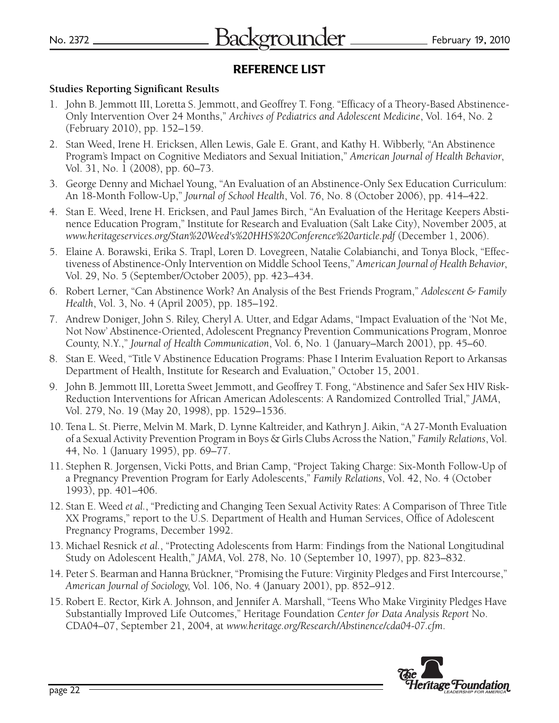## **REFERENCE LIST**

#### **Studies Reporting Significant Results**

- 1. John B. Jemmott III, Loretta S. Jemmott, and Geoffrey T. Fong. "Efficacy of a Theory-Based Abstinence-Only Intervention Over 24 Months," *Archives of Pediatrics and Adolescent Medicine*, Vol. 164, No. 2 (February 2010), pp. 152–159.
- 2. Stan Weed, Irene H. Ericksen, Allen Lewis, Gale E. Grant, and Kathy H. Wibberly, "An Abstinence Program's Impact on Cognitive Mediators and Sexual Initiation," *American Journal of Health Behavior*, Vol. 31, No. 1 (2008), pp. 60–73.
- 3. George Denny and Michael Young, "An Evaluation of an Abstinence-Only Sex Education Curriculum: An 18-Month Follow-Up," *Journal of School Health*, Vol. 76, No. 8 (October 2006), pp. 414–422.
- 4. Stan E. Weed, Irene H. Ericksen, and Paul James Birch, "An Evaluation of the Heritage Keepers Abstinence Education Program," Institute for Research and Evaluation (Salt Lake City), November 2005, at *www.heritageservices.org/Stan%20Weed's%20HHS%20Conference%20article.pdf* (December 1, 2006).
- 5. Elaine A. Borawski, Erika S. Trapl, Loren D. Lovegreen, Natalie Colabianchi, and Tonya Block, "Effectiveness of Abstinence-Only Intervention on Middle School Teens," *American Journal of Health Behavior*, Vol. 29, No. 5 (September/October 2005), pp. 423–434.
- 6. Robert Lerner, "Can Abstinence Work? An Analysis of the Best Friends Program," *Adolescent & Family Health*, Vol. 3, No. 4 (April 2005), pp. 185–192.
- 7. Andrew Doniger, John S. Riley, Cheryl A. Utter, and Edgar Adams, "Impact Evaluation of the 'Not Me, Not Now' Abstinence-Oriented, Adolescent Pregnancy Prevention Communications Program, Monroe County, N.Y.," *Journal of Health Communication*, Vol. 6, No. 1 (January–March 2001), pp. 45–60.
- 8. Stan E. Weed, "Title V Abstinence Education Programs: Phase I Interim Evaluation Report to Arkansas Department of Health, Institute for Research and Evaluation," October 15, 2001.
- 9. John B. Jemmott III, Loretta Sweet Jemmott, and Geoffrey T. Fong, "Abstinence and Safer Sex HIV Risk-Reduction Interventions for African American Adolescents: A Randomized Controlled Trial," *JAMA*, Vol. 279, No. 19 (May 20, 1998), pp. 1529–1536.
- 10. Tena L. St. Pierre, Melvin M. Mark, D. Lynne Kaltreider, and Kathryn J. Aikin, "A 27-Month Evaluation of a Sexual Activity Prevention Program in Boys & Girls Clubs Across the Nation," *Family Relations*, Vol. 44, No. 1 (January 1995), pp. 69–77.
- 11. Stephen R. Jorgensen, Vicki Potts, and Brian Camp, "Project Taking Charge: Six-Month Follow-Up of a Pregnancy Prevention Program for Early Adolescents," *Family Relations*, Vol. 42, No. 4 (October 1993), pp. 401–406.
- 12. Stan E. Weed *et al.*, "Predicting and Changing Teen Sexual Activity Rates: A Comparison of Three Title XX Programs," report to the U.S. Department of Health and Human Services, Office of Adolescent Pregnancy Programs, December 1992.
- 13. Michael Resnick *et al.*, "Protecting Adolescents from Harm: Findings from the National Longitudinal Study on Adolescent Health," *JAMA*, Vol. 278, No. 10 (September 10, 1997), pp. 823–832.
- 14. Peter S. Bearman and Hanna Brückner, "Promising the Future: Virginity Pledges and First Intercourse," *American Journal of Sociology*, Vol. 106, No. 4 (January 2001), pp. 852–912.
- 15. Robert E. Rector, Kirk A. Johnson, and Jennifer A. Marshall, "Teens Who Make Virginity Pledges Have Substantially Improved Life Outcomes," Heritage Foundation *Center for Data Analysis Report* No. CDA04–07, September 21, 2004, at *www.heritage.org/Research/Abstinence/cda04-07.cfm*.